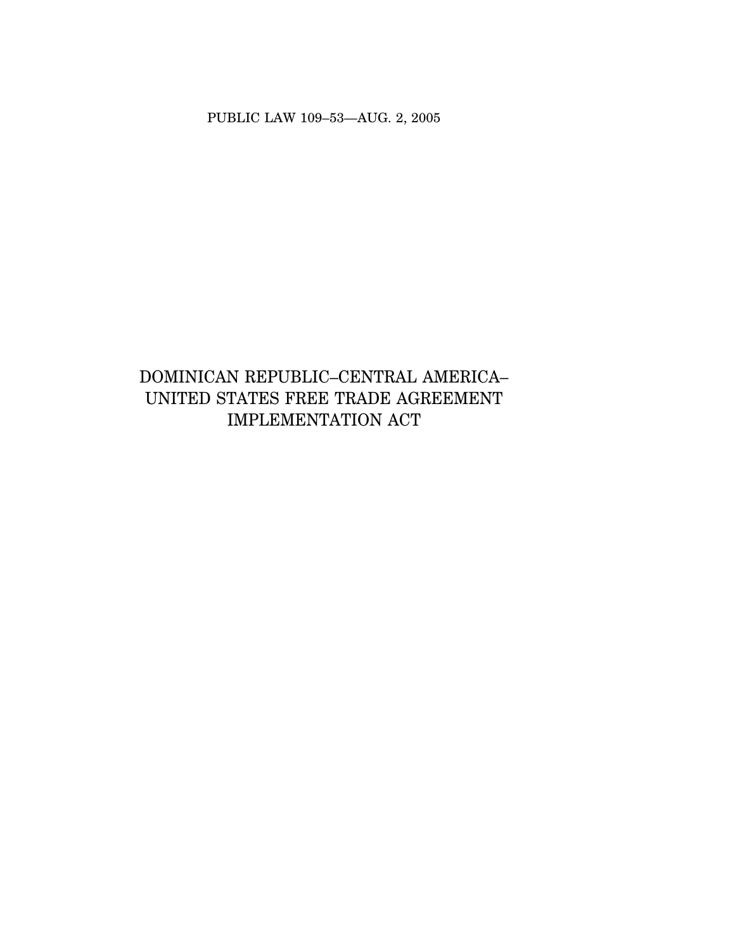PUBLIC LAW 109–53—AUG. 2, 2005

# DOMINICAN REPUBLIC–CENTRAL AMERICA– UNITED STATES FREE TRADE AGREEMENT IMPLEMENTATION ACT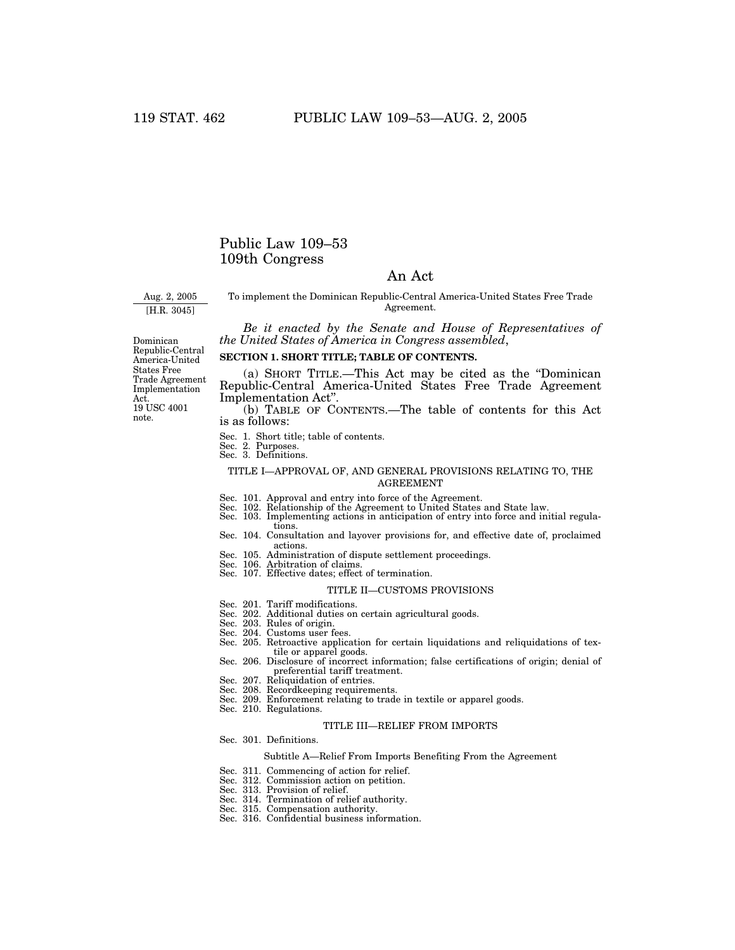## Public Law 109–53 109th Congress

### An Act

Aug. 2, 2005

[H.R. 3045]

To implement the Dominican Republic-Central America-United States Free Trade Agreement.

*Be it enacted by the Senate and House of Representatives of the United States of America in Congress assembled*,

Dominican Republic-Central America-United States Free Trade Agreement Implementation Act. 19 USC 4001 note.

#### **SECTION 1. SHORT TITLE; TABLE OF CONTENTS.**

(a) SHORT TITLE.—This Act may be cited as the ''Dominican Republic-Central America-United States Free Trade Agreement Implementation Act''.

(b) TABLE OF CONTENTS.—The table of contents for this Act is as follows:

- Sec. 1. Short title; table of contents.
- Sec. 2. Purposes.
- Sec. 3. Definitions.

#### TITLE I—APPROVAL OF, AND GENERAL PROVISIONS RELATING TO, THE AGREEMENT

- 
- Sec. 101. Approval and entry into force of the Agreement. Sec. 102. Relationship of the Agreement to United States and State law.
- Sec. 103. Implementing actions in anticipation of entry into force and initial regulations.
- Sec. 104. Consultation and layover provisions for, and effective date of, proclaimed actions.
- Sec. 105. Administration of dispute settlement proceedings.
- Sec. 106. Arbitration of claims. Sec. 107. Effective dates; effect of termination.
- 

#### TITLE II—CUSTOMS PROVISIONS

- 
- Sec. 201. Tariff modifications. Sec. 202. Additional duties on certain agricultural goods.
- Sec. 203. Rules of origin.
- Sec. 204. Customs user fees.
- Sec. 205. Retroactive application for certain liquidations and reliquidations of textile or apparel goods.
- Sec. 206. Disclosure of incorrect information; false certifications of origin; denial of preferential tariff treatment.
- Sec. 207. Reliquidation of entries.
- Sec. 208. Recordkeeping requirements.
- Sec. 209. Enforcement relating to trade in textile or apparel goods.
- Sec. 210. Regulations.

#### TITLE III—RELIEF FROM IMPORTS

Sec. 301. Definitions.

#### Subtitle A—Relief From Imports Benefiting From the Agreement

- Sec. 311. Commencing of action for relief.
- Sec. 312. Commission action on petition.
- 
- Sec. 313. Provision of relief. Sec. 314. Termination of relief authority.
- 
- Sec. 315. Compensation authority. Sec. 316. Confidential business information.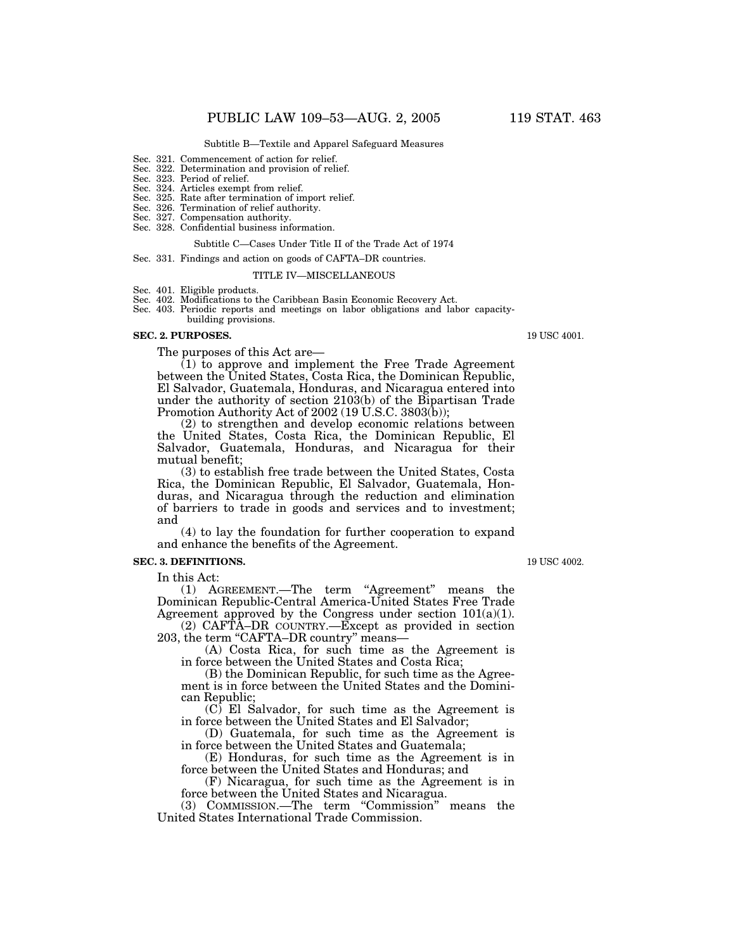#### Subtitle B—Textile and Apparel Safeguard Measures

- Sec. 321. Commencement of action for relief.
- Sec. 322. Determination and provision of relief.
- Sec. 323. Period of relief.
- Sec. 324. Articles exempt from relief.
- Sec. 325. Rate after termination of import relief.
- Sec. 326. Termination of relief authority.
- Sec. 327. Compensation authority.
- Sec. 328. Confidential business information.

#### Subtitle C—Cases Under Title II of the Trade Act of 1974

Sec. 331. Findings and action on goods of CAFTA–DR countries.

#### TITLE IV—MISCELLANEOUS

Sec. 401. Eligible products.

Sec. 402. Modifications to the Caribbean Basin Economic Recovery Act.

Sec. 403. Periodic reports and meetings on labor obligations and labor capacity-

building provisions.

#### **SEC. 2. PURPOSES.**

The purposes of this Act are—

(1) to approve and implement the Free Trade Agreement between the United States, Costa Rica, the Dominican Republic, El Salvador, Guatemala, Honduras, and Nicaragua entered into under the authority of section 2103(b) of the Bipartisan Trade Promotion Authority Act of 2002 (19 U.S.C. 3803(b));

(2) to strengthen and develop economic relations between the United States, Costa Rica, the Dominican Republic, El Salvador, Guatemala, Honduras, and Nicaragua for their mutual benefit;

(3) to establish free trade between the United States, Costa Rica, the Dominican Republic, El Salvador, Guatemala, Honduras, and Nicaragua through the reduction and elimination of barriers to trade in goods and services and to investment; and

(4) to lay the foundation for further cooperation to expand and enhance the benefits of the Agreement.

### **SEC. 3. DEFINITIONS.**

In this Act:

(1) AGREEMENT.—The term "Agreement" means the Dominican Republic-Central America-United States Free Trade Agreement approved by the Congress under section 101(a)(1).

(2) CAFTA–DR COUNTRY.—Except as provided in section 203, the term "CAFTA–DR country" means—

(A) Costa Rica, for such time as the Agreement is in force between the United States and Costa Rica;

(B) the Dominican Republic, for such time as the Agreement is in force between the United States and the Dominican Republic;

(C) El Salvador, for such time as the Agreement is in force between the United States and El Salvador;

(D) Guatemala, for such time as the Agreement is in force between the United States and Guatemala;

(E) Honduras, for such time as the Agreement is in force between the United States and Honduras; and

(F) Nicaragua, for such time as the Agreement is in force between the United States and Nicaragua.

(3) COMMISSION.—The term ''Commission'' means the United States International Trade Commission.

19 USC 4002.

19 USC 4001.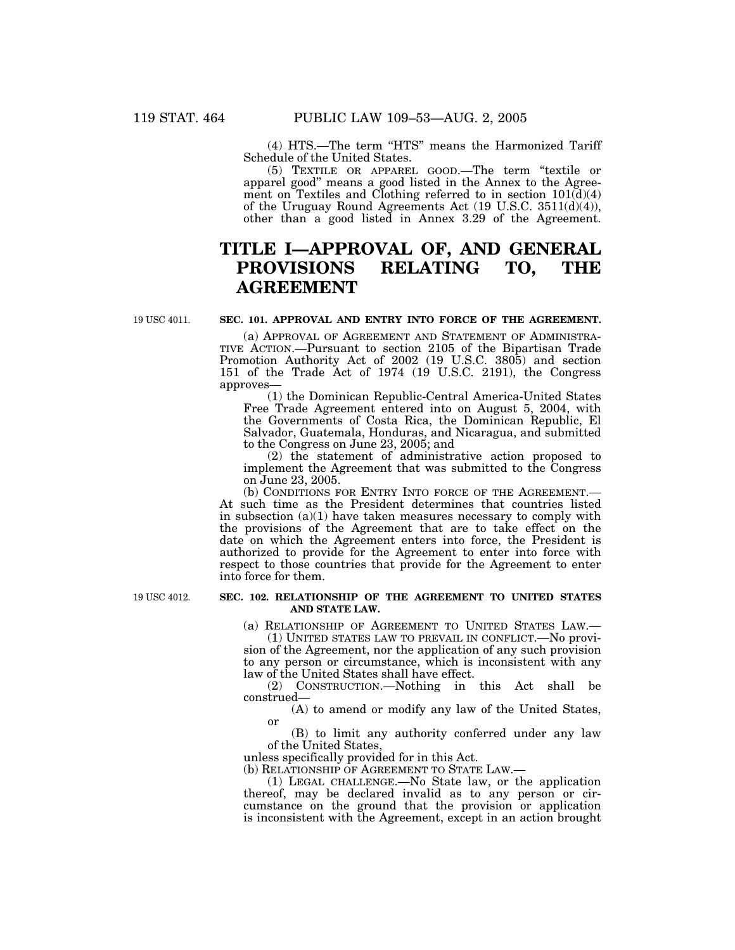(4) HTS.—The term "HTS" means the Harmonized Tariff Schedule of the United States.

(5) TEXTILE OR APPAREL GOOD.—The term ''textile or apparel good'' means a good listed in the Annex to the Agreement on Textiles and Clothing referred to in section  $101(d)(4)$ of the Uruguay Round Agreements Act (19 U.S.C. 3511(d)(4)), other than a good listed in Annex 3.29 of the Agreement.

## **TITLE I—APPROVAL OF, AND GENERAL PROVISIONS RELATING TO, THE AGREEMENT**

19 USC 4011.

### **SEC. 101. APPROVAL AND ENTRY INTO FORCE OF THE AGREEMENT.**

(a) APPROVAL OF AGREEMENT AND STATEMENT OF ADMINISTRA- TIVE ACTION.—Pursuant to section 2105 of the Bipartisan Trade Promotion Authority Act of 2002 (19 U.S.C. 3805) and section 151 of the Trade Act of 1974 (19 U.S.C. 2191), the Congress approves—

(1) the Dominican Republic-Central America-United States Free Trade Agreement entered into on August 5, 2004, with the Governments of Costa Rica, the Dominican Republic, El Salvador, Guatemala, Honduras, and Nicaragua, and submitted to the Congress on June 23, 2005; and

(2) the statement of administrative action proposed to implement the Agreement that was submitted to the Congress on June 23, 2005.

(b) CONDITIONS FOR ENTRY INTO FORCE OF THE AGREEMENT.— At such time as the President determines that countries listed in subsection  $(a)(1)$  have taken measures necessary to comply with the provisions of the Agreement that are to take effect on the date on which the Agreement enters into force, the President is authorized to provide for the Agreement to enter into force with respect to those countries that provide for the Agreement to enter into force for them.

19 USC 4012.

#### **SEC. 102. RELATIONSHIP OF THE AGREEMENT TO UNITED STATES AND STATE LAW.**

(a) RELATIONSHIP OF AGREEMENT TO UNITED STATES LAW.—

(1) UNITED STATES LAW TO PREVAIL IN CONFLICT.—No provision of the Agreement, nor the application of any such provision to any person or circumstance, which is inconsistent with any law of the United States shall have effect.

(2) CONSTRUCTION.—Nothing in this Act shall be construed—

(A) to amend or modify any law of the United States, or

(B) to limit any authority conferred under any law of the United States,

unless specifically provided for in this Act.

(b) RELATIONSHIP OF AGREEMENT TO STATE LAW.—

(1) LEGAL CHALLENGE.—No State law, or the application thereof, may be declared invalid as to any person or circumstance on the ground that the provision or application is inconsistent with the Agreement, except in an action brought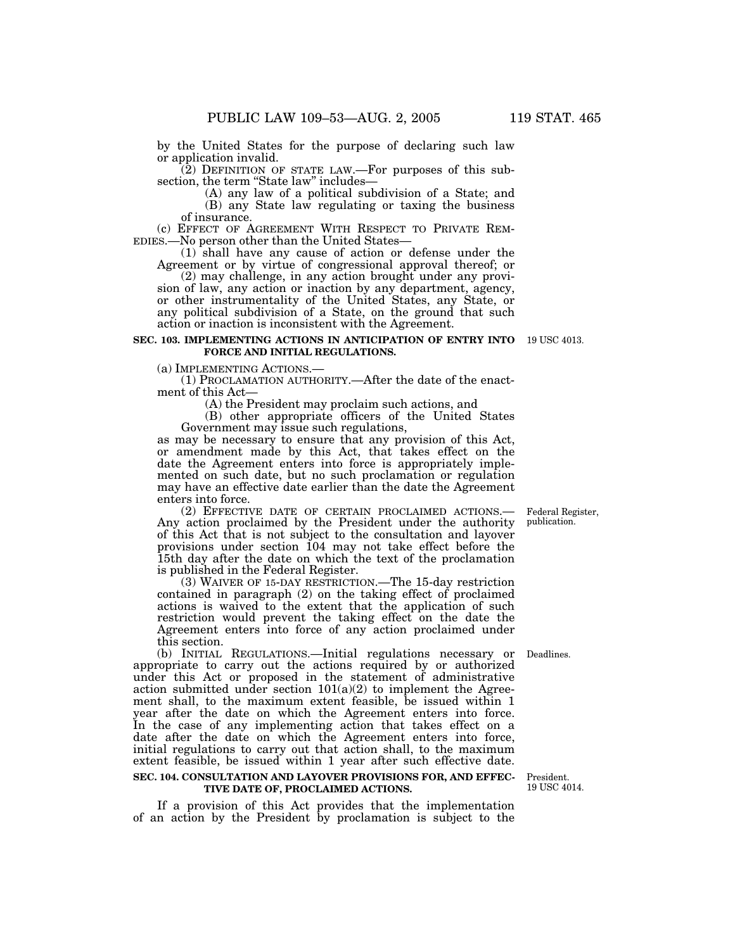by the United States for the purpose of declaring such law or application invalid.

(2) DEFINITION OF STATE LAW.—For purposes of this subsection, the term "State law" includes-

(A) any law of a political subdivision of a State; and (B) any State law regulating or taxing the business of insurance.

(c) EFFECT OF AGREEMENT WITH RESPECT TO PRIVATE REM- EDIES.—No person other than the United States—

(1) shall have any cause of action or defense under the Agreement or by virtue of congressional approval thereof; or

(2) may challenge, in any action brought under any provision of law, any action or inaction by any department, agency, or other instrumentality of the United States, any State, or any political subdivision of a State, on the ground that such action or inaction is inconsistent with the Agreement.

#### **SEC. 103. IMPLEMENTING ACTIONS IN ANTICIPATION OF ENTRY INTO** 19 USC 4013. **FORCE AND INITIAL REGULATIONS.**

(a) IMPLEMENTING ACTIONS.— (1) PROCLAMATION AUTHORITY.—After the date of the enactment of this Act—

(A) the President may proclaim such actions, and

(B) other appropriate officers of the United States Government may issue such regulations,

as may be necessary to ensure that any provision of this Act, or amendment made by this Act, that takes effect on the date the Agreement enters into force is appropriately implemented on such date, but no such proclamation or regulation may have an effective date earlier than the date the Agreement enters into force.<br>
(2) EFFECTIVE DATE OF CERTAIN PROCLAIMED ACTIONS.—

Any action proclaimed by the President under the authority. of this Act that is not subject to the consultation and layover provisions under section 104 may not take effect before the 15th day after the date on which the text of the proclamation is published in the Federal Register.

(3) WAIVER OF 15-DAY RESTRICTION.—The 15-day restriction contained in paragraph (2) on the taking effect of proclaimed actions is waived to the extent that the application of such restriction would prevent the taking effect on the date the Agreement enters into force of any action proclaimed under this section.

(b) INITIAL REGULATIONS.—Initial regulations necessary or appropriate to carry out the actions required by or authorized under this Act or proposed in the statement of administrative action submitted under section  $101(a)(2)$  to implement the Agreement shall, to the maximum extent feasible, be issued within 1 year after the date on which the Agreement enters into force. In the case of any implementing action that takes effect on a date after the date on which the Agreement enters into force, initial regulations to carry out that action shall, to the maximum extent feasible, be issued within 1 year after such effective date.

#### **SEC. 104. CONSULTATION AND LAYOVER PROVISIONS FOR, AND EFFEC-**President. **TIVE DATE OF, PROCLAIMED ACTIONS.**

If a provision of this Act provides that the implementation of an action by the President by proclamation is subject to the

Federal Register, publication.

Deadlines.

19 USC 4014.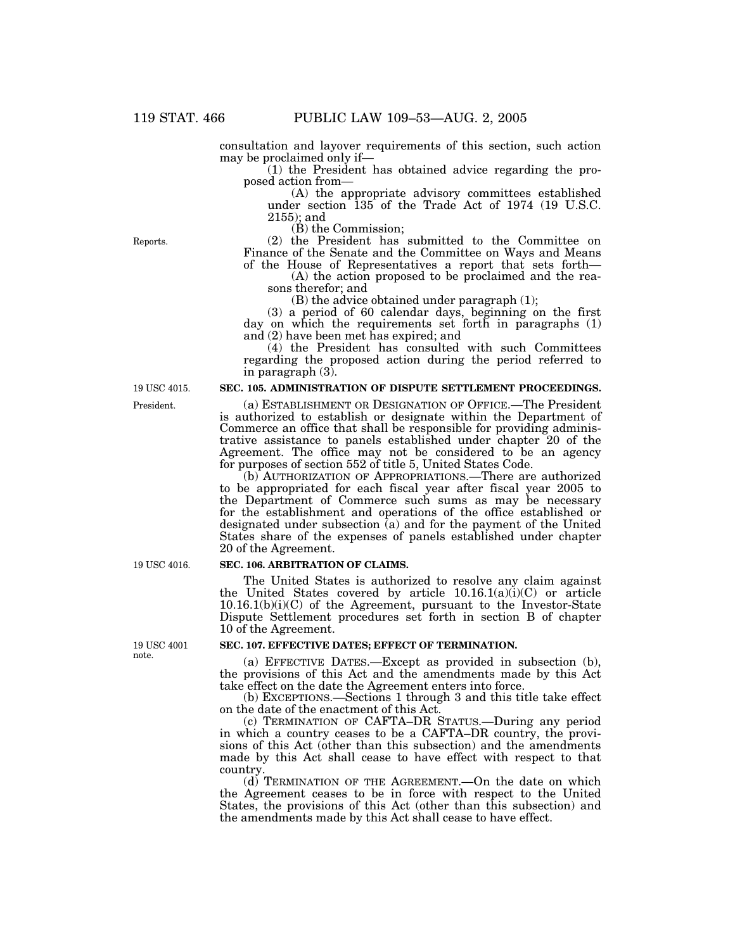consultation and layover requirements of this section, such action may be proclaimed only if—

(1) the President has obtained advice regarding the proposed action from—

(A) the appropriate advisory committees established under section 135 of the Trade Act of 1974 (19 U.S.C. 2155); and

(B) the Commission;

(2) the President has submitted to the Committee on Finance of the Senate and the Committee on Ways and Means of the House of Representatives a report that sets forth—

(A) the action proposed to be proclaimed and the reasons therefor; and

(B) the advice obtained under paragraph (1);

(3) a period of 60 calendar days, beginning on the first day on which the requirements set forth in paragraphs (1) and (2) have been met has expired; and

(4) the President has consulted with such Committees regarding the proposed action during the period referred to in paragraph (3).

#### **SEC. 105. ADMINISTRATION OF DISPUTE SETTLEMENT PROCEEDINGS.**

(a) ESTABLISHMENT OR DESIGNATION OF OFFICE.—The President is authorized to establish or designate within the Department of Commerce an office that shall be responsible for providing administrative assistance to panels established under chapter 20 of the Agreement. The office may not be considered to be an agency for purposes of section 552 of title 5, United States Code.

(b) AUTHORIZATION OF APPROPRIATIONS.—There are authorized to be appropriated for each fiscal year after fiscal year 2005 to the Department of Commerce such sums as may be necessary for the establishment and operations of the office established or designated under subsection (a) and for the payment of the United States share of the expenses of panels established under chapter 20 of the Agreement.

#### **SEC. 106. ARBITRATION OF CLAIMS.**

The United States is authorized to resolve any claim against the United States covered by article  $10.16.1(a)(i)(C)$  or article 10.16.1(b)(i)(C) of the Agreement, pursuant to the Investor-State Dispute Settlement procedures set forth in section B of chapter 10 of the Agreement.

#### **SEC. 107. EFFECTIVE DATES; EFFECT OF TERMINATION.**

(a) EFFECTIVE DATES.—Except as provided in subsection (b), the provisions of this Act and the amendments made by this Act take effect on the date the Agreement enters into force.

(b) EXCEPTIONS.—Sections 1 through 3 and this title take effect on the date of the enactment of this Act.

(c) TERMINATION OF CAFTA–DR STATUS.—During any period in which a country ceases to be a CAFTA–DR country, the provisions of this Act (other than this subsection) and the amendments made by this Act shall cease to have effect with respect to that country.

(d) TERMINATION OF THE AGREEMENT.—On the date on which the Agreement ceases to be in force with respect to the United States, the provisions of this Act (other than this subsection) and the amendments made by this Act shall cease to have effect.

19 USC 4016.

19 USC 4001 note.

Reports.

President. 19 USC 4015.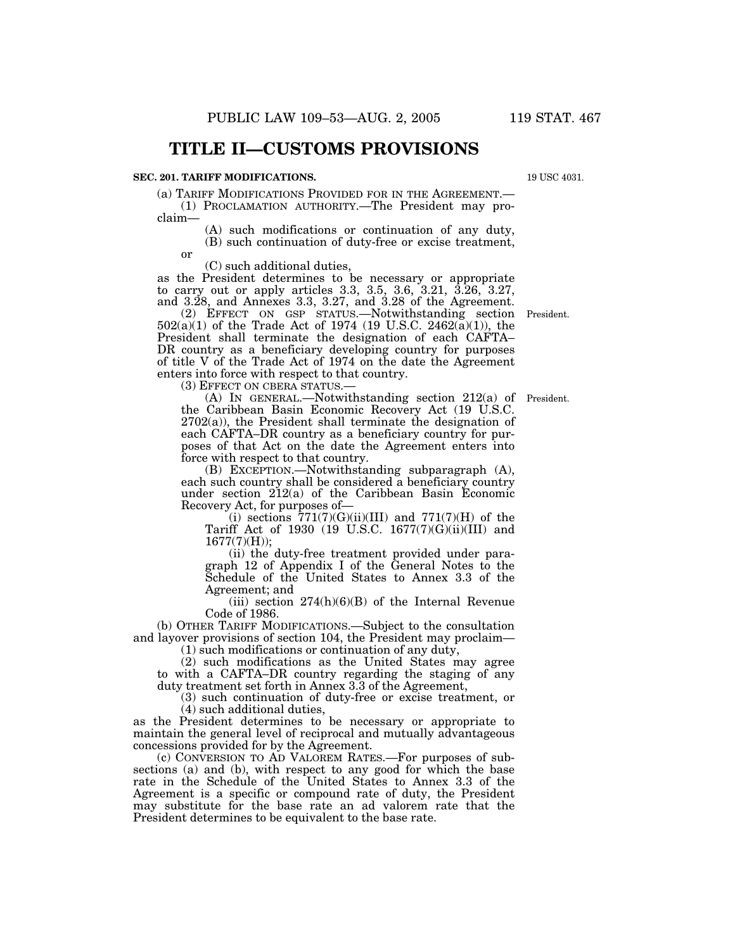## **TITLE II—CUSTOMS PROVISIONS**

#### **SEC. 201. TARIFF MODIFICATIONS.**

(a) TARIFF MODIFICATIONS PROVIDED FOR IN THE AGREEMENT.—

(1) PROCLAMATION AUTHORITY.—The President may proclaim—

(A) such modifications or continuation of any duty, (B) such continuation of duty-free or excise treatment,

or

(C) such additional duties,

as the President determines to be necessary or appropriate to carry out or apply articles 3.3, 3.5, 3.6, 3.21, 3.26, 3.27, and 3.28, and Annexes 3.3, 3.27, and 3.28 of the Agreement.

(2) EFFECT ON GSP STATUS.—Notwithstanding section President. 502(a)(1) of the Trade Act of 1974 (19 U.S.C. 2462(a)(1)), the President shall terminate the designation of each CAFTA– DR country as a beneficiary developing country for purposes of title V of the Trade Act of 1974 on the date the Agreement enters into force with respect to that country.

(3) EFFECT ON CBERA STATUS.—

(A) IN GENERAL.—Notwithstanding section 212(a) of the Caribbean Basin Economic Recovery Act (19 U.S.C.  $2702(a)$ , the President shall terminate the designation of each CAFTA–DR country as a beneficiary country for purposes of that Act on the date the Agreement enters into force with respect to that country.

(B) EXCEPTION.—Notwithstanding subparagraph (A), each such country shall be considered a beneficiary country under section 212(a) of the Caribbean Basin Economic Recovery Act, for purposes of—

(i) sections  $771(7)(G)(ii)(III)$  and  $771(7)(H)$  of the Tariff Act of 1930 (19 U.S.C. 1677(7)(G)(ii)(III) and 1677(7)(H));

(ii) the duty-free treatment provided under paragraph 12 of Appendix I of the General Notes to the Schedule of the United States to Annex 3.3 of the Agreement; and

(iii) section  $274(h)(6)(B)$  of the Internal Revenue Code of 1986.

(b) OTHER TARIFF MODIFICATIONS.—Subject to the consultation and layover provisions of section 104, the President may proclaim—

(1) such modifications or continuation of any duty,

(2) such modifications as the United States may agree to with a CAFTA–DR country regarding the staging of any duty treatment set forth in Annex 3.3 of the Agreement,

(3) such continuation of duty-free or excise treatment, or (4) such additional duties,

as the President determines to be necessary or appropriate to maintain the general level of reciprocal and mutually advantageous concessions provided for by the Agreement.

(c) CONVERSION TO AD VALOREM RATES.—For purposes of subsections (a) and (b), with respect to any good for which the base rate in the Schedule of the United States to Annex 3.3 of the Agreement is a specific or compound rate of duty, the President may substitute for the base rate an ad valorem rate that the President determines to be equivalent to the base rate.

19 USC 4031.

President.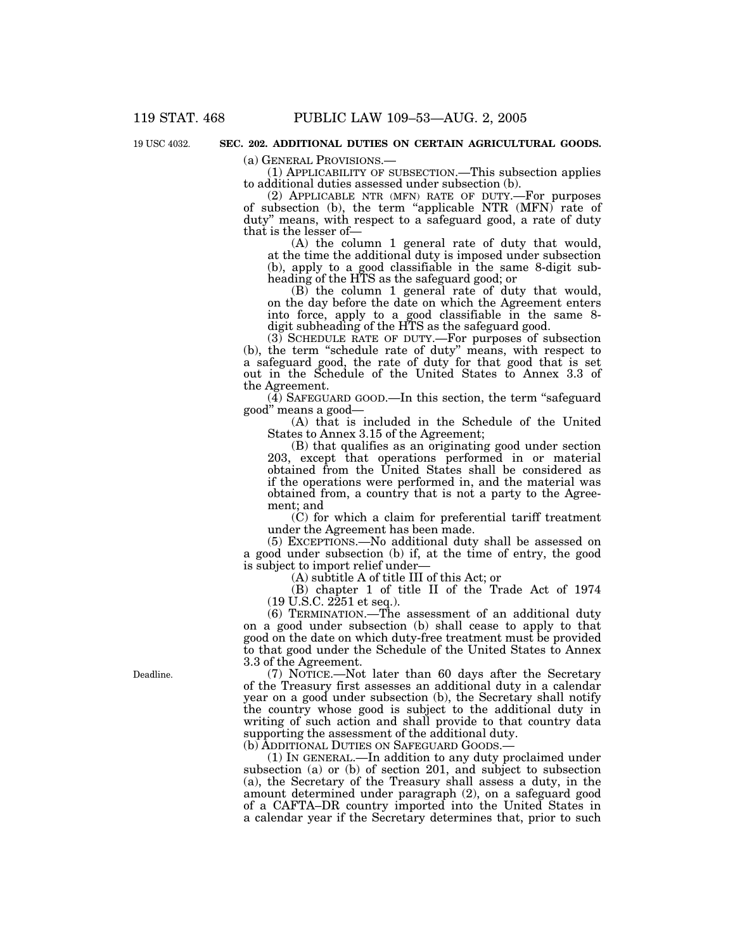19 USC 4032.

#### **SEC. 202. ADDITIONAL DUTIES ON CERTAIN AGRICULTURAL GOODS.**

(a) GENERAL PROVISIONS.— (1) APPLICABILITY OF SUBSECTION.—This subsection applies to additional duties assessed under subsection (b).

(2) APPLICABLE NTR (MFN) RATE OF DUTY.—For purposes of subsection (b), the term ''applicable NTR (MFN) rate of duty'' means, with respect to a safeguard good, a rate of duty that is the lesser of—

(A) the column 1 general rate of duty that would, at the time the additional duty is imposed under subsection (b), apply to a good classifiable in the same 8-digit subheading of the HTS as the safeguard good; or

(B) the column 1 general rate of duty that would, on the day before the date on which the Agreement enters into force, apply to a good classifiable in the same 8 digit subheading of the HTS as the safeguard good.

(3) SCHEDULE RATE OF DUTY.—For purposes of subsection (b), the term ''schedule rate of duty'' means, with respect to a safeguard good, the rate of duty for that good that is set out in the Schedule of the United States to Annex 3.3 of the Agreement.

(4) SAFEGUARD GOOD.—In this section, the term ''safeguard good'' means a good—

(A) that is included in the Schedule of the United States to Annex 3.15 of the Agreement;

(B) that qualifies as an originating good under section 203, except that operations performed in or material obtained from the United States shall be considered as if the operations were performed in, and the material was obtained from, a country that is not a party to the Agreement; and

(C) for which a claim for preferential tariff treatment under the Agreement has been made.

(5) EXCEPTIONS.—No additional duty shall be assessed on a good under subsection (b) if, at the time of entry, the good is subject to import relief under—

(A) subtitle A of title III of this Act; or

(B) chapter 1 of title II of the Trade Act of 1974  $(19 \text{ U.S.C. } 2251 \text{ et seq.}).$ 

(6) TERMINATION.—The assessment of an additional duty on a good under subsection (b) shall cease to apply to that good on the date on which duty-free treatment must be provided to that good under the Schedule of the United States to Annex 3.3 of the Agreement.

(7) NOTICE.—Not later than 60 days after the Secretary of the Treasury first assesses an additional duty in a calendar year on a good under subsection (b), the Secretary shall notify the country whose good is subject to the additional duty in writing of such action and shall provide to that country data supporting the assessment of the additional duty. (b) ADDITIONAL DUTIES ON SAFEGUARD GOODS.—

(1) IN GENERAL.—In addition to any duty proclaimed under subsection (a) or (b) of section 201, and subject to subsection (a), the Secretary of the Treasury shall assess a duty, in the amount determined under paragraph (2), on a safeguard good of a CAFTA–DR country imported into the United States in a calendar year if the Secretary determines that, prior to such

Deadline.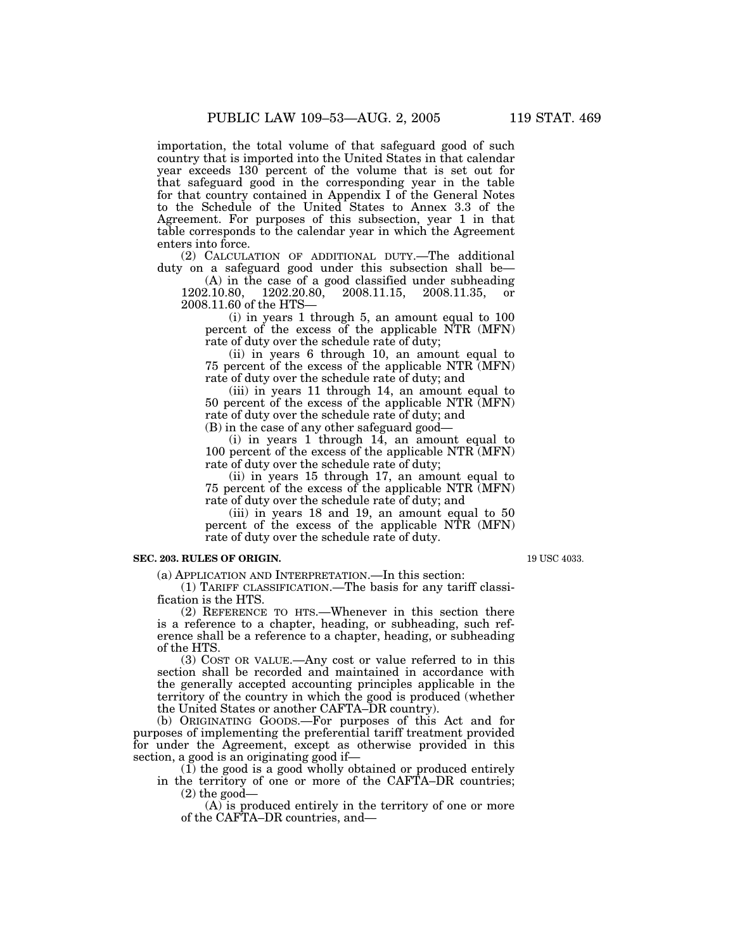importation, the total volume of that safeguard good of such country that is imported into the United States in that calendar year exceeds 130 percent of the volume that is set out for that safeguard good in the corresponding year in the table for that country contained in Appendix I of the General Notes to the Schedule of the United States to Annex 3.3 of the Agreement. For purposes of this subsection, year 1 in that table corresponds to the calendar year in which the Agreement enters into force.

(2) CALCULATION OF ADDITIONAL DUTY.—The additional duty on a safeguard good under this subsection shall be—

(A) in the case of a good classified under subheading 1202.10.80, 1202.20.80, 2008.11.15, 2008.11.35, or 2008.11.60 of the HTS—

(i) in years 1 through 5, an amount equal to 100 percent of the excess of the applicable NTR (MFN) rate of duty over the schedule rate of duty;

(ii) in years 6 through 10, an amount equal to 75 percent of the excess of the applicable NTR (MFN) rate of duty over the schedule rate of duty; and

(iii) in years 11 through 14, an amount equal to 50 percent of the excess of the applicable NTR (MFN) rate of duty over the schedule rate of duty; and

(B) in the case of any other safeguard good—

(i) in years 1 through 14, an amount equal to 100 percent of the excess of the applicable NTR (MFN) rate of duty over the schedule rate of duty;

(ii) in years 15 through 17, an amount equal to 75 percent of the excess of the applicable NTR (MFN) rate of duty over the schedule rate of duty; and

(iii) in years 18 and 19, an amount equal to 50 percent of the excess of the applicable NTR (MFN) rate of duty over the schedule rate of duty.

#### **SEC. 203. RULES OF ORIGIN.**

(a) APPLICATION AND INTERPRETATION.—In this section:

(1) TARIFF CLASSIFICATION.—The basis for any tariff classification is the HTS.

(2) REFERENCE TO HTS.—Whenever in this section there is a reference to a chapter, heading, or subheading, such reference shall be a reference to a chapter, heading, or subheading of the HTS.

(3) COST OR VALUE.—Any cost or value referred to in this section shall be recorded and maintained in accordance with the generally accepted accounting principles applicable in the territory of the country in which the good is produced (whether the United States or another CAFTA–DR country).

(b) ORIGINATING GOODS.—For purposes of this Act and for purposes of implementing the preferential tariff treatment provided for under the Agreement, except as otherwise provided in this section, a good is an originating good if—

(1) the good is a good wholly obtained or produced entirely in the territory of one or more of the CAFTA–DR countries;  $(2)$  the good-

(A) is produced entirely in the territory of one or more of the CAFTA–DR countries, and—

19 USC 4033.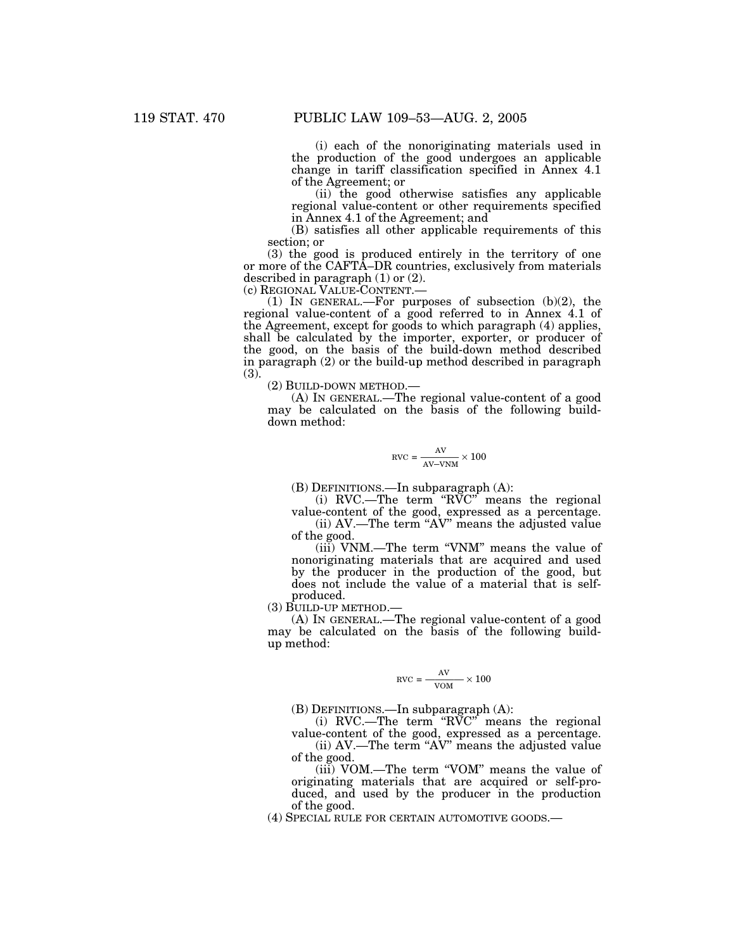(i) each of the nonoriginating materials used in the production of the good undergoes an applicable change in tariff classification specified in Annex 4.1 of the Agreement; or

(ii) the good otherwise satisfies any applicable regional value-content or other requirements specified in Annex 4.1 of the Agreement; and

(B) satisfies all other applicable requirements of this section; or

(3) the good is produced entirely in the territory of one or more of the CAFTA–DR countries, exclusively from materials described in paragraph (1) or (2).<br>(c) REGIONAL VALUE-CONTENT.—

(1) IN GENERAL.—For purposes of subsection (b)(2), the regional value-content of a good referred to in Annex 4.1 of the Agreement, except for goods to which paragraph (4) applies, shall be calculated by the importer, exporter, or producer of the good, on the basis of the build-down method described in paragraph (2) or the build-up method described in paragraph  $(3).$ 

(2) BUILD-DOWN METHOD.—

(A) IN GENERAL.—The regional value-content of a good may be calculated on the basis of the following builddown method:

$$
RVC = \frac{AV}{AV-VNM} \times 100
$$

(B) DEFINITIONS.—In subparagraph (A):

(i) RVC.—The term ''RVC'' means the regional value-content of the good, expressed as a percentage.

(ii) AV.—The term ''AV'' means the adjusted value of the good.

(iii) VNM.—The term ''VNM'' means the value of nonoriginating materials that are acquired and used by the producer in the production of the good, but does not include the value of a material that is selfproduced.

(3) BUILD-UP METHOD.—

(A) IN GENERAL.—The regional value-content of a good may be calculated on the basis of the following buildup method:

$$
RVC = \frac{AV}{VOM} \times 100
$$

(B) DEFINITIONS.—In subparagraph (A):

(i) RVC.—The term ''RVC'' means the regional value-content of the good, expressed as a percentage.

(ii) AV.—The term ''AV'' means the adjusted value of the good.

(iii) VOM.—The term ''VOM'' means the value of originating materials that are acquired or self-produced, and used by the producer in the production of the good.

(4) SPECIAL RULE FOR CERTAIN AUTOMOTIVE GOODS.—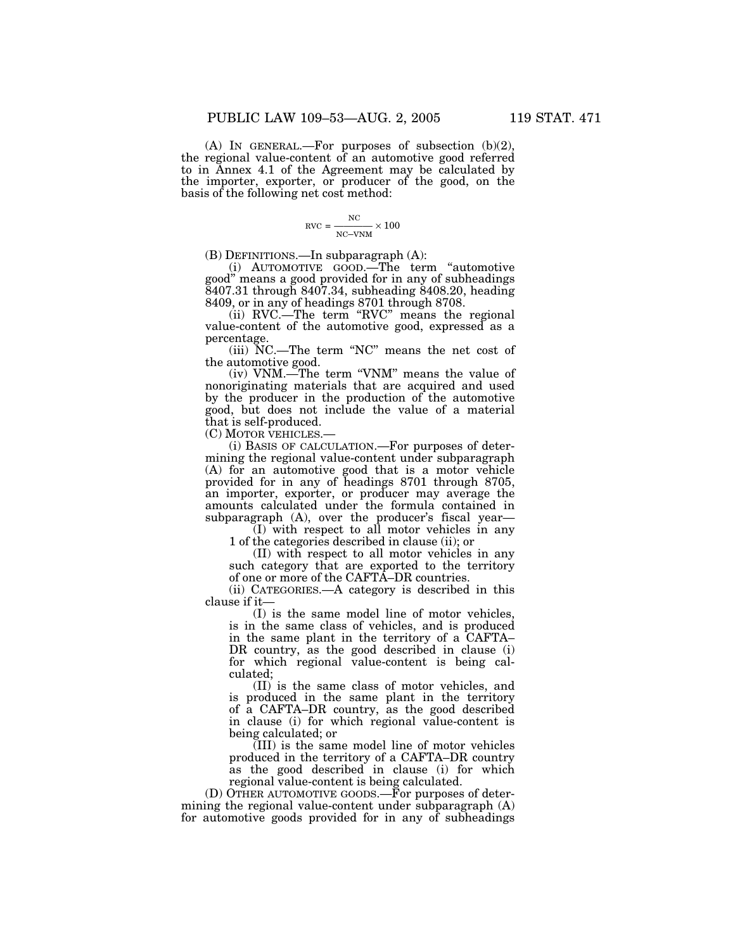(A) IN GENERAL.—For purposes of subsection  $(b)(2)$ , the regional value-content of an automotive good referred to in Annex 4.1 of the Agreement may be calculated by the importer, exporter, or producer of the good, on the basis of the following net cost method:

$$
RVC = \frac{NC}{NC-VNM} \times 100
$$

(B) DEFINITIONS.—In subparagraph (A):

(i) AUTOMOTIVE GOOD.—The term ''automotive good'' means a good provided for in any of subheadings 8407.31 through 8407.34, subheading 8408.20, heading 8409, or in any of headings 8701 through 8708.

(ii) RVC.—The term ''RVC'' means the regional value-content of the automotive good, expressed as a percentage.

(iii) NC.—The term ''NC'' means the net cost of the automotive good.

(iv) VNM.—The term "VNM" means the value of nonoriginating materials that are acquired and used by the producer in the production of the automotive good, but does not include the value of a material that is self-produced.

(C) MOTOR VEHICLES.—

(i) BASIS OF CALCULATION.—For purposes of determining the regional value-content under subparagraph (A) for an automotive good that is a motor vehicle provided for in any of headings 8701 through 8705, an importer, exporter, or producer may average the amounts calculated under the formula contained in subparagraph (A), over the producer's fiscal year—

(I) with respect to all motor vehicles in any 1 of the categories described in clause (ii); or

(II) with respect to all motor vehicles in any such category that are exported to the territory of one or more of the CAFTA–DR countries.

(ii) CATEGORIES.—A category is described in this clause if it—

(I) is the same model line of motor vehicles, is in the same class of vehicles, and is produced in the same plant in the territory of a CAFTA– DR country, as the good described in clause (i) for which regional value-content is being calculated;

(II) is the same class of motor vehicles, and is produced in the same plant in the territory of a CAFTA–DR country, as the good described in clause (i) for which regional value-content is being calculated; or

(III) is the same model line of motor vehicles produced in the territory of a CAFTA–DR country as the good described in clause (i) for which regional value-content is being calculated.

(D) OTHER AUTOMOTIVE GOODS.—For purposes of determining the regional value-content under subparagraph (A) for automotive goods provided for in any of subheadings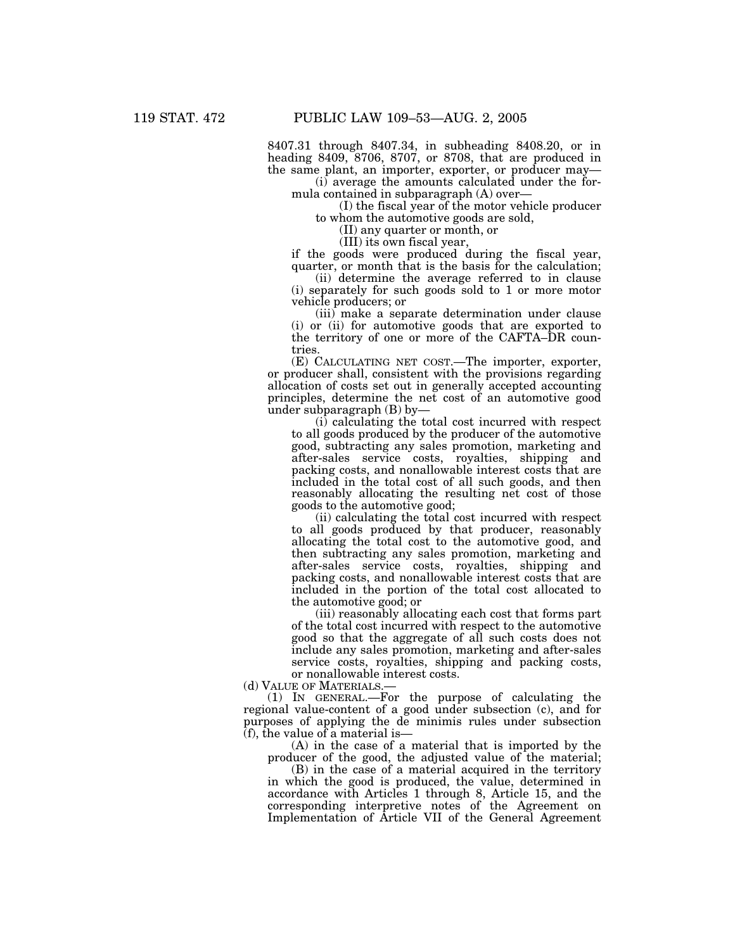8407.31 through 8407.34, in subheading 8408.20, or in heading 8409, 8706, 8707, or 8708, that are produced in the same plant, an importer, exporter, or producer may—

(i) average the amounts calculated under the formula contained in subparagraph (A) over—

(I) the fiscal year of the motor vehicle producer to whom the automotive goods are sold,

(II) any quarter or month, or

(III) its own fiscal year,

if the goods were produced during the fiscal year, quarter, or month that is the basis for the calculation;

(ii) determine the average referred to in clause (i) separately for such goods sold to 1 or more motor vehicle producers; or

(iii) make a separate determination under clause (i) or (ii) for automotive goods that are exported to the territory of one or more of the CAFTA–DR countries.

(E) CALCULATING NET COST.—The importer, exporter, or producer shall, consistent with the provisions regarding allocation of costs set out in generally accepted accounting principles, determine the net cost of an automotive good under subparagraph (B) by—

(i) calculating the total cost incurred with respect to all goods produced by the producer of the automotive good, subtracting any sales promotion, marketing and after-sales service costs, royalties, shipping and packing costs, and nonallowable interest costs that are included in the total cost of all such goods, and then reasonably allocating the resulting net cost of those goods to the automotive good;

(ii) calculating the total cost incurred with respect to all goods produced by that producer, reasonably allocating the total cost to the automotive good, and then subtracting any sales promotion, marketing and after-sales service costs, royalties, shipping and packing costs, and nonallowable interest costs that are included in the portion of the total cost allocated to the automotive good; or

(iii) reasonably allocating each cost that forms part of the total cost incurred with respect to the automotive good so that the aggregate of all such costs does not include any sales promotion, marketing and after-sales service costs, royalties, shipping and packing costs, or nonallowable interest costs.

(d) VALUE OF MATERIALS.—

(1) IN GENERAL.—For the purpose of calculating the regional value-content of a good under subsection (c), and for purposes of applying the de minimis rules under subsection (f), the value of a material is—

(A) in the case of a material that is imported by the producer of the good, the adjusted value of the material;

(B) in the case of a material acquired in the territory in which the good is produced, the value, determined in accordance with Articles 1 through 8, Article 15, and the corresponding interpretive notes of the Agreement on Implementation of Article VII of the General Agreement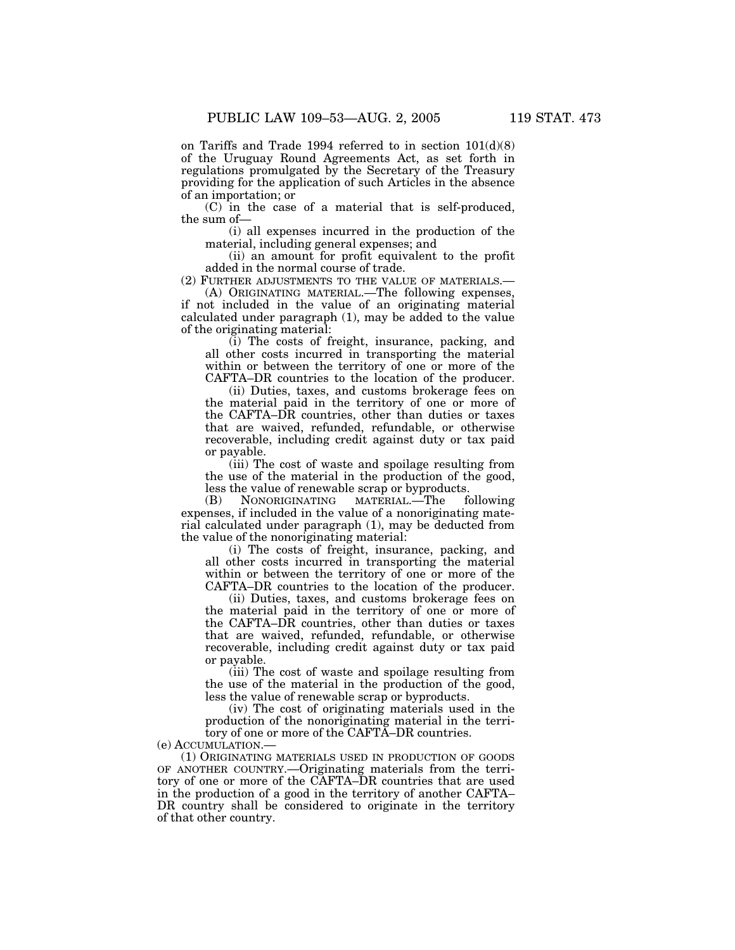on Tariffs and Trade 1994 referred to in section 101(d)(8) of the Uruguay Round Agreements Act, as set forth in regulations promulgated by the Secretary of the Treasury providing for the application of such Articles in the absence of an importation; or

(C) in the case of a material that is self-produced, the sum of—

(i) all expenses incurred in the production of the material, including general expenses; and

(ii) an amount for profit equivalent to the profit added in the normal course of trade.

(2) FURTHER ADJUSTMENTS TO THE VALUE OF MATERIALS.—

(A) ORIGINATING MATERIAL.—The following expenses, if not included in the value of an originating material calculated under paragraph (1), may be added to the value of the originating material:

(i) The costs of freight, insurance, packing, and all other costs incurred in transporting the material within or between the territory of one or more of the CAFTA–DR countries to the location of the producer.

(ii) Duties, taxes, and customs brokerage fees on the material paid in the territory of one or more of the CAFTA–DR countries, other than duties or taxes that are waived, refunded, refundable, or otherwise recoverable, including credit against duty or tax paid or payable.

(iii) The cost of waste and spoilage resulting from the use of the material in the production of the good, less the value of renewable scrap or byproducts.<br>(B) NONORIGINATING MATERIAL.—The following

 $Nonoricinaring$ expenses, if included in the value of a nonoriginating material calculated under paragraph (1), may be deducted from the value of the nonoriginating material:

(i) The costs of freight, insurance, packing, and all other costs incurred in transporting the material within or between the territory of one or more of the CAFTA–DR countries to the location of the producer.

(ii) Duties, taxes, and customs brokerage fees on the material paid in the territory of one or more of the CAFTA–DR countries, other than duties or taxes that are waived, refunded, refundable, or otherwise recoverable, including credit against duty or tax paid or payable.

(iii) The cost of waste and spoilage resulting from the use of the material in the production of the good, less the value of renewable scrap or byproducts.

(iv) The cost of originating materials used in the production of the nonoriginating material in the territory of one or more of the CAFTA–DR countries.

(e) ACCUMULATION.—

(1) ORIGINATING MATERIALS USED IN PRODUCTION OF GOODS OF ANOTHER COUNTRY.—Originating materials from the territory of one or more of the CAFTA–DR countries that are used in the production of a good in the territory of another CAFTA– DR country shall be considered to originate in the territory of that other country.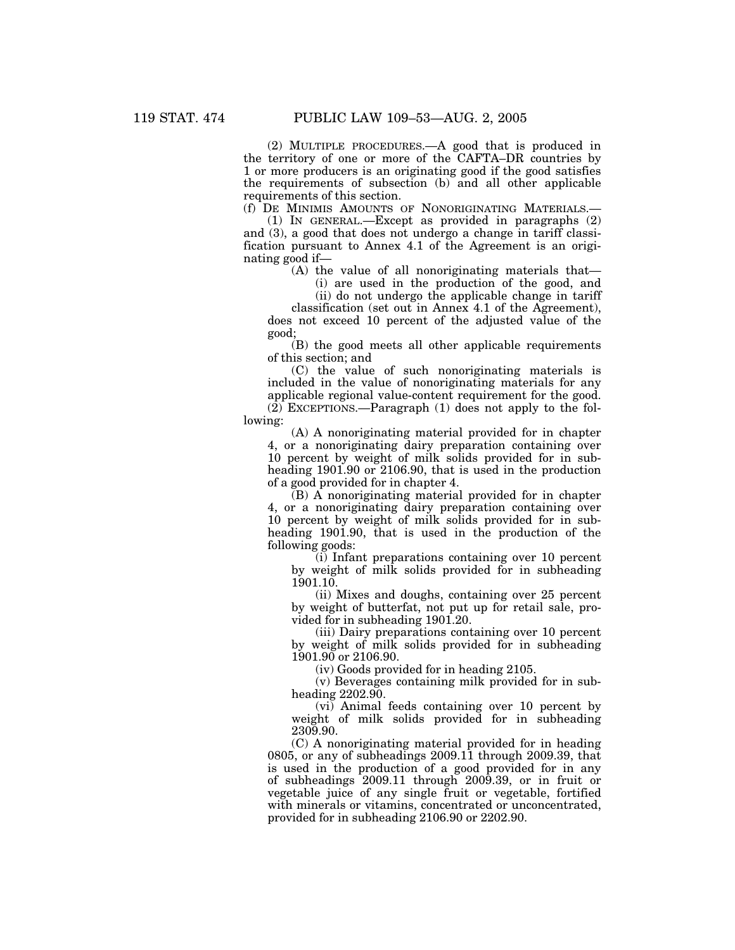(2) MULTIPLE PROCEDURES.—A good that is produced in the territory of one or more of the CAFTA–DR countries by 1 or more producers is an originating good if the good satisfies the requirements of subsection (b) and all other applicable requirements of this section.

(f) DE MINIMIS AMOUNTS OF NONORIGINATING MATERIALS.—

(1) IN GENERAL.—Except as provided in paragraphs (2) and (3), a good that does not undergo a change in tariff classification pursuant to Annex 4.1 of the Agreement is an originating good if—

(A) the value of all nonoriginating materials that— (i) are used in the production of the good, and

(ii) do not undergo the applicable change in tariff classification (set out in Annex 4.1 of the Agreement),

does not exceed 10 percent of the adjusted value of the good;

(B) the good meets all other applicable requirements of this section; and

(C) the value of such nonoriginating materials is included in the value of nonoriginating materials for any applicable regional value-content requirement for the good. (2) EXCEPTIONS.—Paragraph (1) does not apply to the following:

(A) A nonoriginating material provided for in chapter 4, or a nonoriginating dairy preparation containing over 10 percent by weight of milk solids provided for in subheading 1901.90 or 2106.90, that is used in the production of a good provided for in chapter 4.

(B) A nonoriginating material provided for in chapter 4, or a nonoriginating dairy preparation containing over 10 percent by weight of milk solids provided for in subheading 1901.90, that is used in the production of the following goods:

(i) Infant preparations containing over 10 percent by weight of milk solids provided for in subheading 1901.10.

(ii) Mixes and doughs, containing over 25 percent by weight of butterfat, not put up for retail sale, provided for in subheading 1901.20.

(iii) Dairy preparations containing over 10 percent by weight of milk solids provided for in subheading 1901.90 or 2106.90.

(iv) Goods provided for in heading 2105.

(v) Beverages containing milk provided for in subheading 2202.90.

(vi) Animal feeds containing over 10 percent by weight of milk solids provided for in subheading 2309.90.

(C) A nonoriginating material provided for in heading 0805, or any of subheadings 2009.11 through 2009.39, that is used in the production of a good provided for in any of subheadings 2009.11 through 2009.39, or in fruit or vegetable juice of any single fruit or vegetable, fortified with minerals or vitamins, concentrated or unconcentrated, provided for in subheading 2106.90 or 2202.90.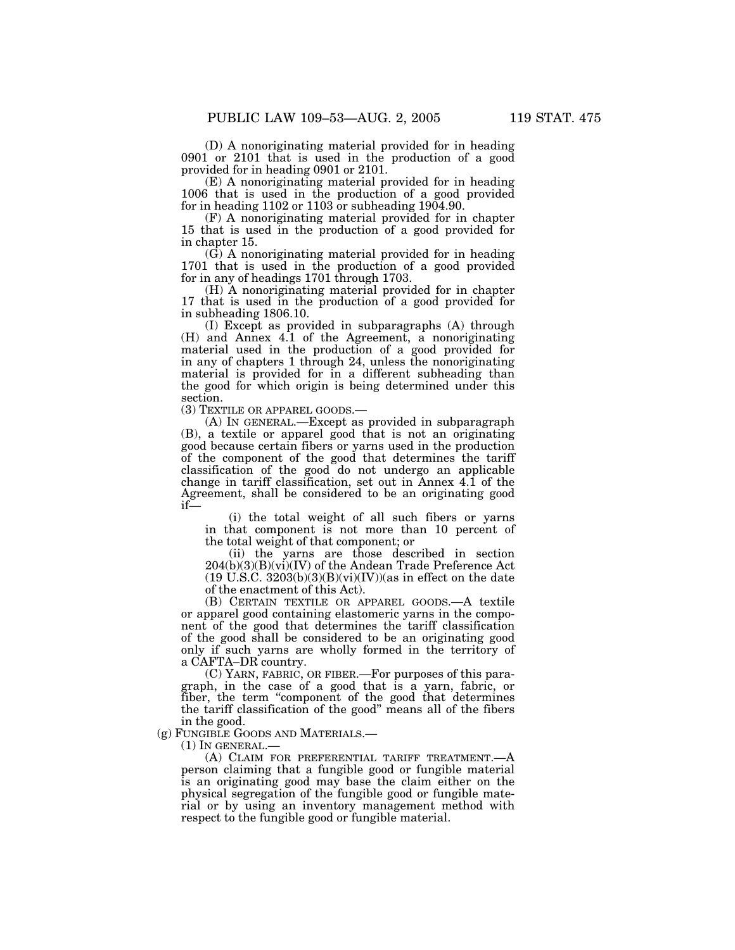(D) A nonoriginating material provided for in heading 0901 or 2101 that is used in the production of a good provided for in heading 0901 or 2101.

(E) A nonoriginating material provided for in heading 1006 that is used in the production of a good provided for in heading  $1102$  or  $1103$  or subheading  $1904.90$ .

(F) A nonoriginating material provided for in chapter 15 that is used in the production of a good provided for in chapter 15.

(G) A nonoriginating material provided for in heading 1701 that is used in the production of a good provided for in any of headings 1701 through 1703.

(H) A nonoriginating material provided for in chapter 17 that is used in the production of a good provided for in subheading 1806.10.

(I) Except as provided in subparagraphs (A) through (H) and Annex 4.1 of the Agreement, a nonoriginating material used in the production of a good provided for in any of chapters 1 through 24, unless the nonoriginating material is provided for in a different subheading than the good for which origin is being determined under this section.

(3) TEXTILE OR APPAREL GOODS.—

(A) IN GENERAL.—Except as provided in subparagraph (B), a textile or apparel good that is not an originating good because certain fibers or yarns used in the production of the component of the good that determines the tariff classification of the good do not undergo an applicable change in tariff classification, set out in Annex 4.1 of the Agreement, shall be considered to be an originating good if—

(i) the total weight of all such fibers or yarns in that component is not more than 10 percent of the total weight of that component; or

(ii) the yarns are those described in section  $204(b)(3)(B)(vi)(IV)$  of the Andean Trade Preference Act  $(19 \text{ U.S.C. } 3203(b)(3)(B)(vi)(IV))$ (as in effect on the date of the enactment of this Act).

(B) CERTAIN TEXTILE OR APPAREL GOODS.—A textile or apparel good containing elastomeric yarns in the component of the good that determines the tariff classification of the good shall be considered to be an originating good only if such yarns are wholly formed in the territory of a CAFTA–DR country.

(C) YARN, FABRIC, OR FIBER.—For purposes of this paragraph, in the case of a good that is a yarn, fabric, or fiber, the term "component of the good that determines the tariff classification of the good'' means all of the fibers in the good.

(g) FUNGIBLE GOODS AND MATERIALS.—

(1) IN GENERAL.— (A) CLAIM FOR PREFERENTIAL TARIFF TREATMENT.—A person claiming that a fungible good or fungible material is an originating good may base the claim either on the physical segregation of the fungible good or fungible material or by using an inventory management method with respect to the fungible good or fungible material.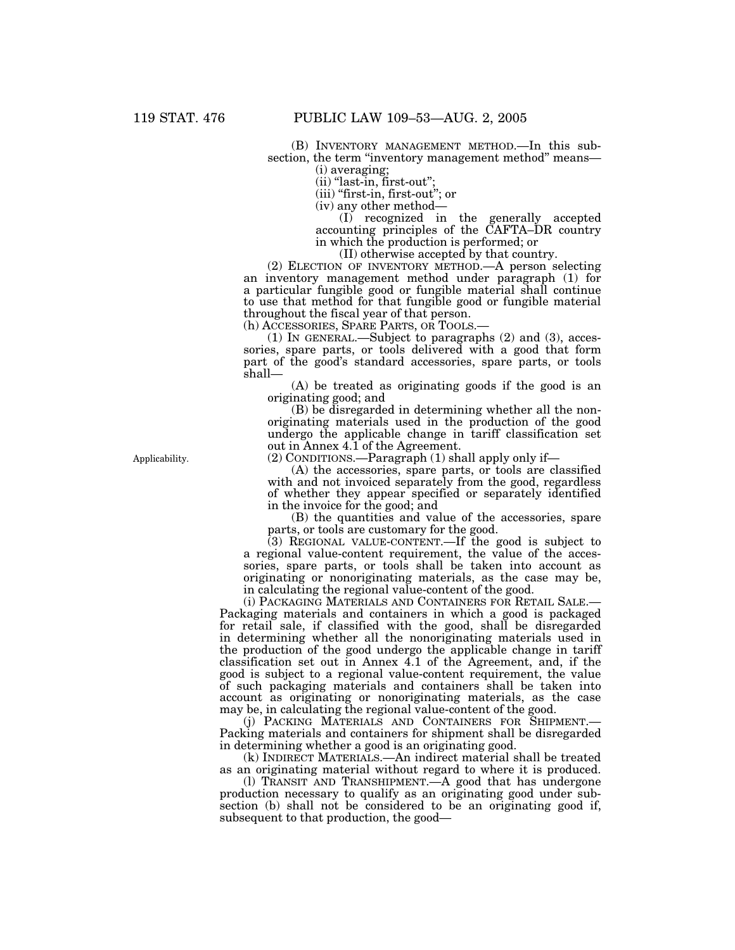(B) INVENTORY MANAGEMENT METHOD.—In this subsection, the term "inventory management method" means-

(i) averaging;

 $(ii)$  "last-in, first-out"; (iii) ''first-in, first-out''; or

(iv) any other method—

(I) recognized in the generally accepted accounting principles of the CAFTA–DR country in which the production is performed; or

(II) otherwise accepted by that country.

(2) ELECTION OF INVENTORY METHOD.—A person selecting an inventory management method under paragraph (1) for a particular fungible good or fungible material shall continue to use that method for that fungible good or fungible material throughout the fiscal year of that person.<br>(h) ACCESSORIES, SPARE PARTS, OR TOOLS.

(1) IN GENERAL.—Subject to paragraphs  $(2)$  and  $(3)$ , accessories, spare parts, or tools delivered with a good that form part of the good's standard accessories, spare parts, or tools shall—

(A) be treated as originating goods if the good is an originating good; and

(B) be disregarded in determining whether all the nonoriginating materials used in the production of the good undergo the applicable change in tariff classification set out in Annex 4.1 of the Agreement.

(2) CONDITIONS.—Paragraph (1) shall apply only if—

(A) the accessories, spare parts, or tools are classified with and not invoiced separately from the good, regardless of whether they appear specified or separately identified in the invoice for the good; and

(B) the quantities and value of the accessories, spare parts, or tools are customary for the good.

(3) REGIONAL VALUE-CONTENT.—If the good is subject to a regional value-content requirement, the value of the accessories, spare parts, or tools shall be taken into account as originating or nonoriginating materials, as the case may be, in calculating the regional value-content of the good.

(i) PACKAGING MATERIALS AND CONTAINERS FOR RETAIL SALE.— Packaging materials and containers in which a good is packaged for retail sale, if classified with the good, shall be disregarded in determining whether all the nonoriginating materials used in the production of the good undergo the applicable change in tariff classification set out in Annex 4.1 of the Agreement, and, if the good is subject to a regional value-content requirement, the value of such packaging materials and containers shall be taken into account as originating or nonoriginating materials, as the case may be, in calculating the regional value-content of the good.

(j) PACKING MATERIALS AND CONTAINERS FOR SHIPMENT.— Packing materials and containers for shipment shall be disregarded in determining whether a good is an originating good.

(k) INDIRECT MATERIALS.—An indirect material shall be treated as an originating material without regard to where it is produced.

(l) TRANSIT AND TRANSHIPMENT.—A good that has undergone production necessary to qualify as an originating good under subsection (b) shall not be considered to be an originating good if, subsequent to that production, the good—

Applicability.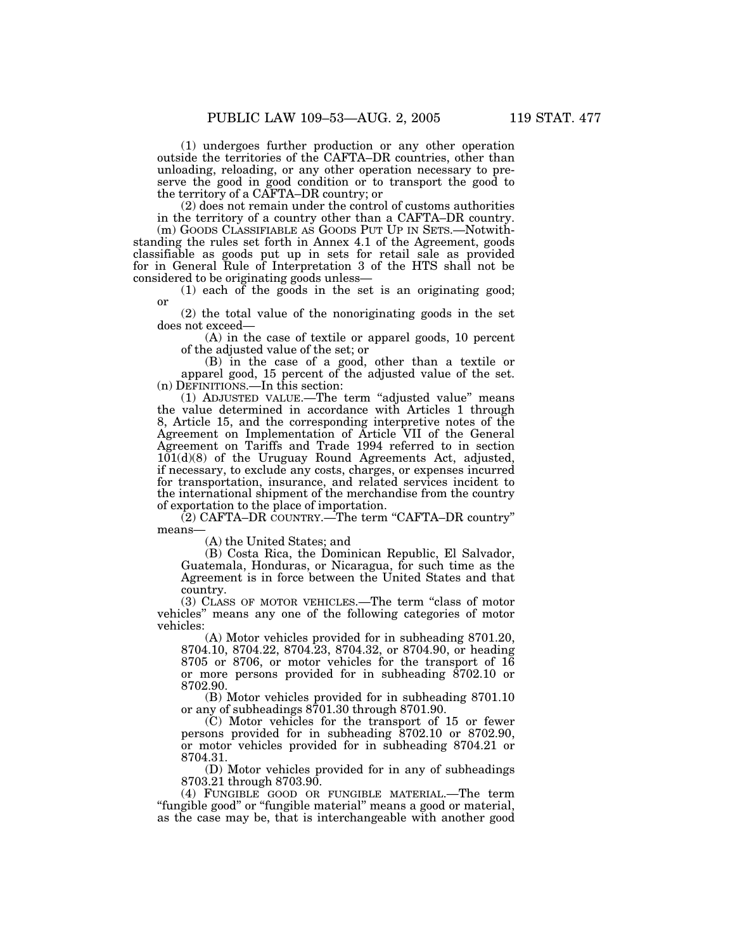(1) undergoes further production or any other operation outside the territories of the CAFTA–DR countries, other than unloading, reloading, or any other operation necessary to preserve the good in good condition or to transport the good to the territory of a CAFTA–DR country; or

(2) does not remain under the control of customs authorities in the territory of a country other than a CAFTA–DR country. (m) GOODS CLASSIFIABLE AS GOODS PUT UP IN SETS.—Notwithstanding the rules set forth in Annex 4.1 of the Agreement, goods classifiable as goods put up in sets for retail sale as provided for in General Rule of Interpretation 3 of the HTS shall not be

considered to be originating goods unless—

(1) each of the goods in the set is an originating good; or

(2) the total value of the nonoriginating goods in the set does not exceed—

(A) in the case of textile or apparel goods, 10 percent of the adjusted value of the set; or

(B) in the case of a good, other than a textile or apparel good, 15 percent of the adjusted value of the set. (n) DEFINITIONS.—In this section:

(1) ADJUSTED VALUE.—The term ''adjusted value'' means the value determined in accordance with Articles 1 through 8, Article 15, and the corresponding interpretive notes of the Agreement on Implementation of Article VII of the General Agreement on Tariffs and Trade 1994 referred to in section  $101(d)(8)$  of the Uruguay Round Agreements Act, adjusted, if necessary, to exclude any costs, charges, or expenses incurred for transportation, insurance, and related services incident to the international shipment of the merchandise from the country of exportation to the place of importation.

(2) CAFTA–DR COUNTRY.—The term ''CAFTA–DR country'' means—

(A) the United States; and

(B) Costa Rica, the Dominican Republic, El Salvador, Guatemala, Honduras, or Nicaragua, for such time as the Agreement is in force between the United States and that country.

(3) CLASS OF MOTOR VEHICLES.—The term ''class of motor vehicles'' means any one of the following categories of motor vehicles:

(A) Motor vehicles provided for in subheading 8701.20, 8704.10, 8704.22, 8704.23, 8704.32, or 8704.90, or heading 8705 or 8706, or motor vehicles for the transport of 16 or more persons provided for in subheading 8702.10 or 8702.90.

(B) Motor vehicles provided for in subheading 8701.10 or any of subheadings 8701.30 through 8701.90.

(C) Motor vehicles for the transport of 15 or fewer persons provided for in subheading 8702.10 or 8702.90, or motor vehicles provided for in subheading 8704.21 or 8704.31.

(D) Motor vehicles provided for in any of subheadings 8703.21 through 8703.90.

(4) FUNGIBLE GOOD OR FUNGIBLE MATERIAL.—The term "fungible good" or "fungible material" means a good or material, as the case may be, that is interchangeable with another good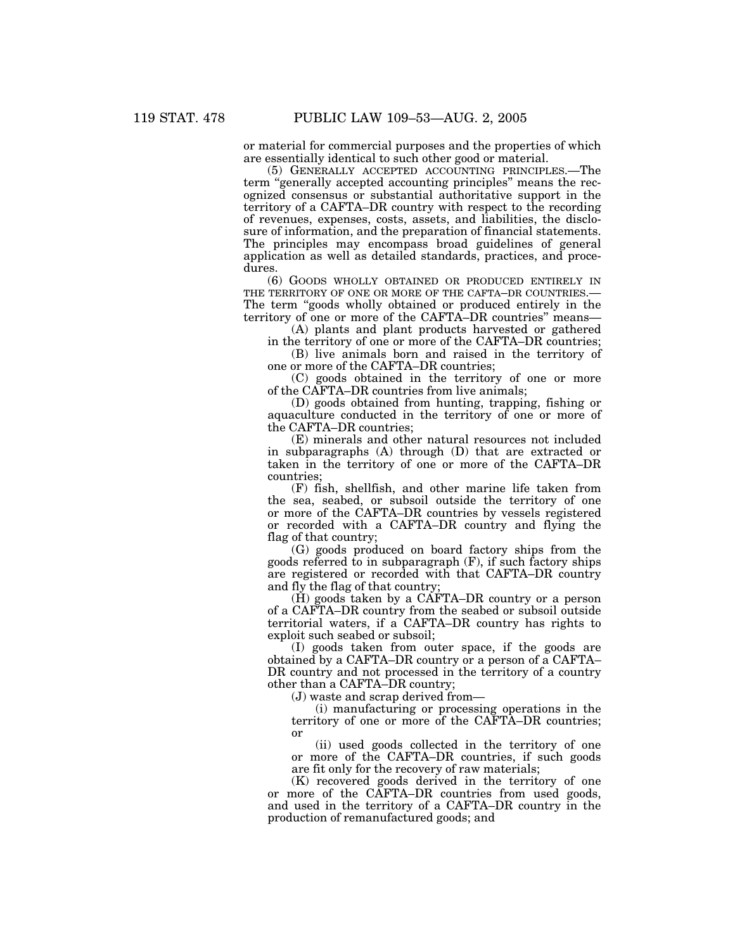or material for commercial purposes and the properties of which are essentially identical to such other good or material.

(5) GENERALLY ACCEPTED ACCOUNTING PRINCIPLES.—The term "generally accepted accounting principles" means the recognized consensus or substantial authoritative support in the territory of a CAFTA–DR country with respect to the recording of revenues, expenses, costs, assets, and liabilities, the disclosure of information, and the preparation of financial statements. The principles may encompass broad guidelines of general application as well as detailed standards, practices, and procedures.

(6) GOODS WHOLLY OBTAINED OR PRODUCED ENTIRELY IN THE TERRITORY OF ONE OR MORE OF THE CAFTA–DR COUNTRIES.-The term "goods wholly obtained or produced entirely in the territory of one or more of the CAFTA–DR countries'' means—

(A) plants and plant products harvested or gathered in the territory of one or more of the CAFTA–DR countries;

(B) live animals born and raised in the territory of one or more of the CAFTA–DR countries;

(C) goods obtained in the territory of one or more of the CAFTA–DR countries from live animals;

(D) goods obtained from hunting, trapping, fishing or aquaculture conducted in the territory of one or more of the CAFTA–DR countries;

(E) minerals and other natural resources not included in subparagraphs (A) through (D) that are extracted or taken in the territory of one or more of the CAFTA–DR countries;

(F) fish, shellfish, and other marine life taken from the sea, seabed, or subsoil outside the territory of one or more of the CAFTA–DR countries by vessels registered or recorded with a CAFTA–DR country and flying the flag of that country;

(G) goods produced on board factory ships from the goods referred to in subparagraph (F), if such factory ships are registered or recorded with that CAFTA–DR country and fly the flag of that country;

 $(H)$  goods taken by a CAFTA–DR country or a person of a CAFTA–DR country from the seabed or subsoil outside territorial waters, if a CAFTA–DR country has rights to exploit such seabed or subsoil;

(I) goods taken from outer space, if the goods are obtained by a CAFTA–DR country or a person of a CAFTA– DR country and not processed in the territory of a country other than a CAFTA–DR country;

(J) waste and scrap derived from—

(i) manufacturing or processing operations in the territory of one or more of the CAFTA–DR countries; or

(ii) used goods collected in the territory of one or more of the CAFTA–DR countries, if such goods are fit only for the recovery of raw materials;

(K) recovered goods derived in the territory of one or more of the CAFTA–DR countries from used goods, and used in the territory of a CAFTA–DR country in the production of remanufactured goods; and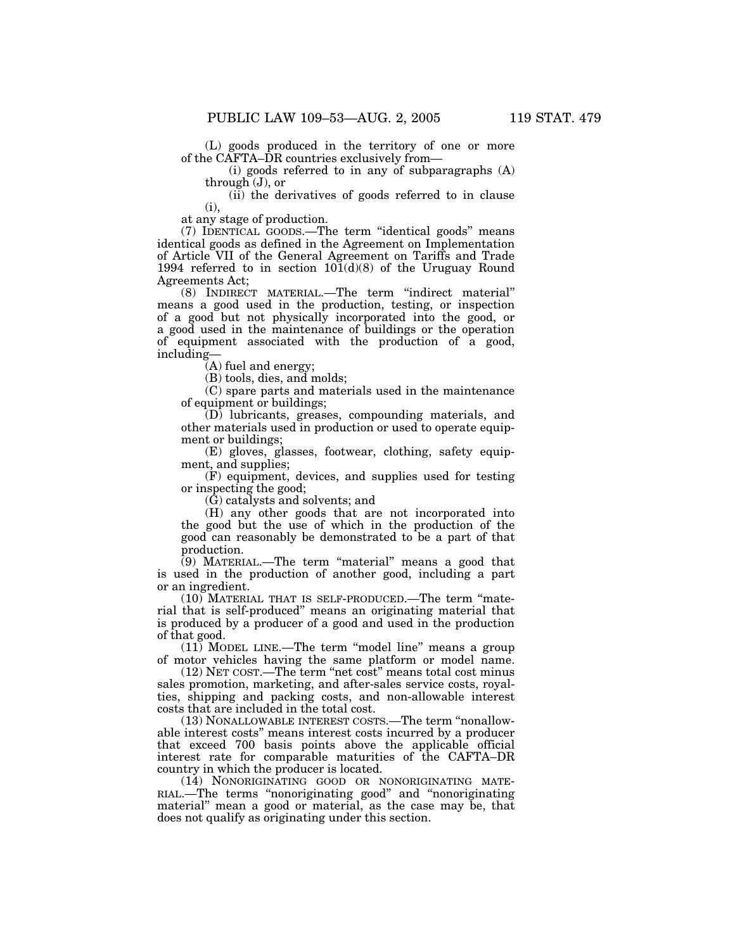(L) goods produced in the territory of one or more of the CAFTA–DR countries exclusively from—

(i) goods referred to in any of subparagraphs (A) through (J), or

(ii) the derivatives of goods referred to in clause  $(i)$ .

at any stage of production.

(7) IDENTICAL GOODS.—The term ''identical goods'' means identical goods as defined in the Agreement on Implementation of Article VII of the General Agreement on Tariffs and Trade 1994 referred to in section 101(d)(8) of the Uruguay Round Agreements Act;

(8) INDIRECT MATERIAL.—The term ''indirect material'' means a good used in the production, testing, or inspection of a good but not physically incorporated into the good, or a good used in the maintenance of buildings or the operation of equipment associated with the production of a good, including—

(A) fuel and energy;

(B) tools, dies, and molds;

(C) spare parts and materials used in the maintenance of equipment or buildings;

(D) lubricants, greases, compounding materials, and other materials used in production or used to operate equipment or buildings;

(E) gloves, glasses, footwear, clothing, safety equipment, and supplies;

(F) equipment, devices, and supplies used for testing or inspecting the good;

(G) catalysts and solvents; and

(H) any other goods that are not incorporated into the good but the use of which in the production of the good can reasonably be demonstrated to be a part of that production.

 $(9)$  MATERIAL.—The term "material" means a good that is used in the production of another good, including a part or an ingredient.

(10) MATERIAL THAT IS SELF-PRODUCED.—The term ''material that is self-produced'' means an originating material that is produced by a producer of a good and used in the production of that good.

 $(11)$  MODEL LINE.—The term "model line" means a group of motor vehicles having the same platform or model name.

(12) NET COST.—The term ''net cost'' means total cost minus sales promotion, marketing, and after-sales service costs, royalties, shipping and packing costs, and non-allowable interest costs that are included in the total cost.

(13) NONALLOWABLE INTEREST COSTS.—The term ''nonallowable interest costs'' means interest costs incurred by a producer that exceed 700 basis points above the applicable official interest rate for comparable maturities of the CAFTA–DR country in which the producer is located.

(14) NONORIGINATING GOOD OR NONORIGINATING MATE-RIAL.—The terms ''nonoriginating good'' and ''nonoriginating material'' mean a good or material, as the case may be, that does not qualify as originating under this section.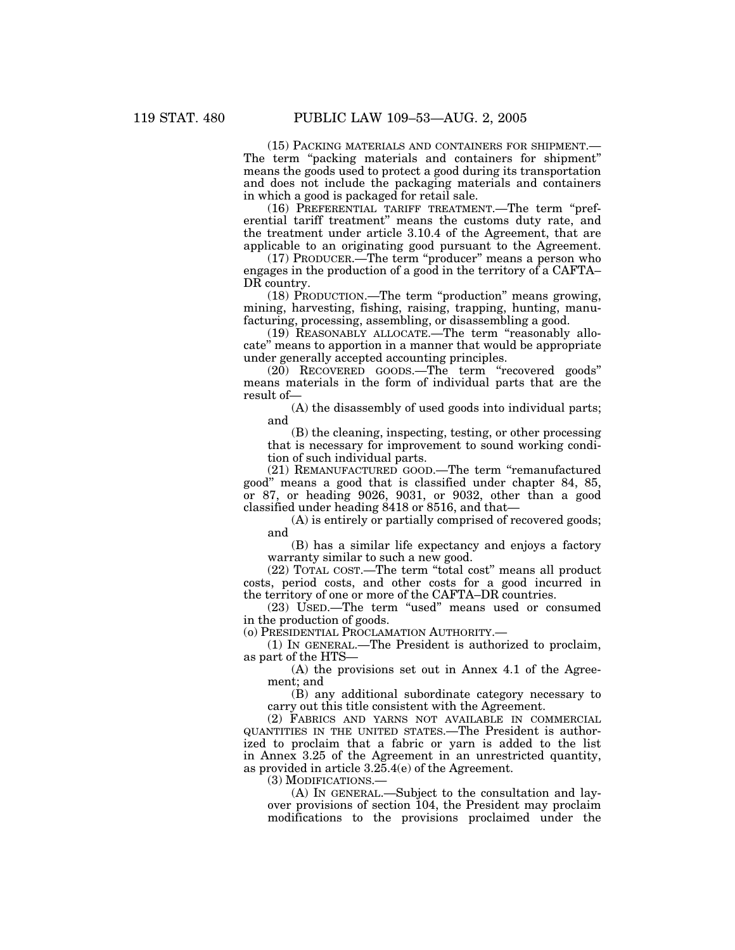(15) PACKING MATERIALS AND CONTAINERS FOR SHIPMENT.— The term "packing materials and containers for shipment" means the goods used to protect a good during its transportation and does not include the packaging materials and containers in which a good is packaged for retail sale.

(16) PREFERENTIAL TARIFF TREATMENT.—The term ''preferential tariff treatment'' means the customs duty rate, and the treatment under article 3.10.4 of the Agreement, that are applicable to an originating good pursuant to the Agreement.

(17) PRODUCER.—The term ''producer'' means a person who engages in the production of a good in the territory of a CAFTA– DR country.

(18) PRODUCTION.—The term ''production'' means growing, mining, harvesting, fishing, raising, trapping, hunting, manufacturing, processing, assembling, or disassembling a good.

(19) REASONABLY ALLOCATE.—The term ''reasonably allocate'' means to apportion in a manner that would be appropriate under generally accepted accounting principles.

(20) RECOVERED GOODS.—The term ''recovered goods'' means materials in the form of individual parts that are the result of—

(A) the disassembly of used goods into individual parts; and

(B) the cleaning, inspecting, testing, or other processing that is necessary for improvement to sound working condition of such individual parts.

(21) REMANUFACTURED GOOD.—The term ''remanufactured good'' means a good that is classified under chapter 84, 85, or 87, or heading 9026, 9031, or 9032, other than a good classified under heading 8418 or 8516, and that—

(A) is entirely or partially comprised of recovered goods; and

(B) has a similar life expectancy and enjoys a factory warranty similar to such a new good.

(22) TOTAL COST.—The term ''total cost'' means all product costs, period costs, and other costs for a good incurred in the territory of one or more of the CAFTA–DR countries.

(23) USED.—The term ''used'' means used or consumed in the production of goods.

(o) PRESIDENTIAL PROCLAMATION AUTHORITY.—

(1) IN GENERAL.—The President is authorized to proclaim, as part of the HTS—

(A) the provisions set out in Annex 4.1 of the Agreement; and

(B) any additional subordinate category necessary to carry out this title consistent with the Agreement.

(2) FABRICS AND YARNS NOT AVAILABLE IN COMMERCIAL QUANTITIES IN THE UNITED STATES.—The President is authorized to proclaim that a fabric or yarn is added to the list in Annex 3.25 of the Agreement in an unrestricted quantity, as provided in article 3.25.4(e) of the Agreement.

(3) MODIFICATIONS.—

(A) IN GENERAL.—Subject to the consultation and layover provisions of section 104, the President may proclaim modifications to the provisions proclaimed under the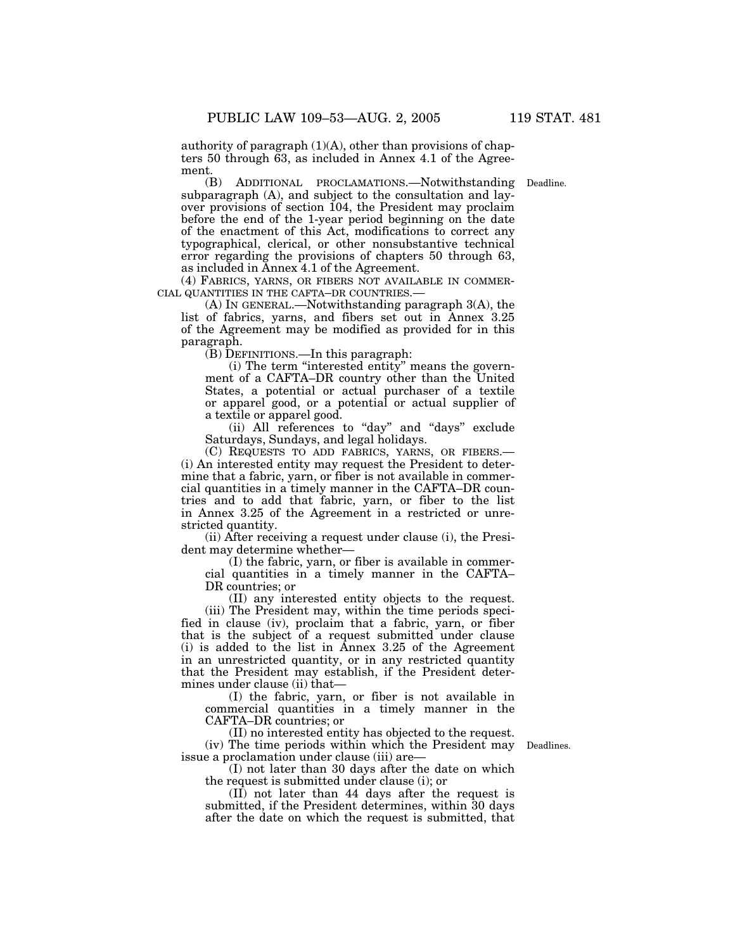authority of paragraph  $(1)(A)$ , other than provisions of chapters 50 through 63, as included in Annex 4.1 of the Agreement.

(B) ADDITIONAL PROCLAMATIONS.—Notwithstanding Deadline. subparagraph (A), and subject to the consultation and layover provisions of section 104, the President may proclaim before the end of the 1-year period beginning on the date of the enactment of this Act, modifications to correct any typographical, clerical, or other nonsubstantive technical error regarding the provisions of chapters 50 through 63, as included in Annex 4.1 of the Agreement.

(4) FABRICS, YARNS, OR FIBERS NOT AVAILABLE IN COMMER-CIAL QUANTITIES IN THE CAFTA–DR COUNTRIES.—

(A) IN GENERAL.—Notwithstanding paragraph 3(A), the list of fabrics, yarns, and fibers set out in Annex 3.25 of the Agreement may be modified as provided for in this paragraph.

(B) DEFINITIONS.—In this paragraph:

(i) The term ''interested entity'' means the government of a CAFTA–DR country other than the United States, a potential or actual purchaser of a textile or apparel good, or a potential or actual supplier of a textile or apparel good.

(ii) All references to "day" and "days" exclude Saturdays, Sundays, and legal holidays.

(C) REQUESTS TO ADD FABRICS, YARNS, OR FIBERS.— (i) An interested entity may request the President to determine that a fabric, yarn, or fiber is not available in commercial quantities in a timely manner in the CAFTA–DR countries and to add that fabric, yarn, or fiber to the list in Annex 3.25 of the Agreement in a restricted or unrestricted quantity.

(ii) After receiving a request under clause (i), the President may determine whether—

(I) the fabric, yarn, or fiber is available in commercial quantities in a timely manner in the CAFTA– DR countries; or

(II) any interested entity objects to the request. (iii) The President may, within the time periods specified in clause (iv), proclaim that a fabric, yarn, or fiber that is the subject of a request submitted under clause (i) is added to the list in Annex 3.25 of the Agreement in an unrestricted quantity, or in any restricted quantity that the President may establish, if the President determines under clause (ii) that-

(I) the fabric, yarn, or fiber is not available in commercial quantities in a timely manner in the CAFTA–DR countries; or

(II) no interested entity has objected to the request. (iv) The time periods within which the President may issue a proclamation under clause (iii) are—

Deadlines.

(I) not later than 30 days after the date on which the request is submitted under clause (i); or

(II) not later than 44 days after the request is submitted, if the President determines, within 30 days after the date on which the request is submitted, that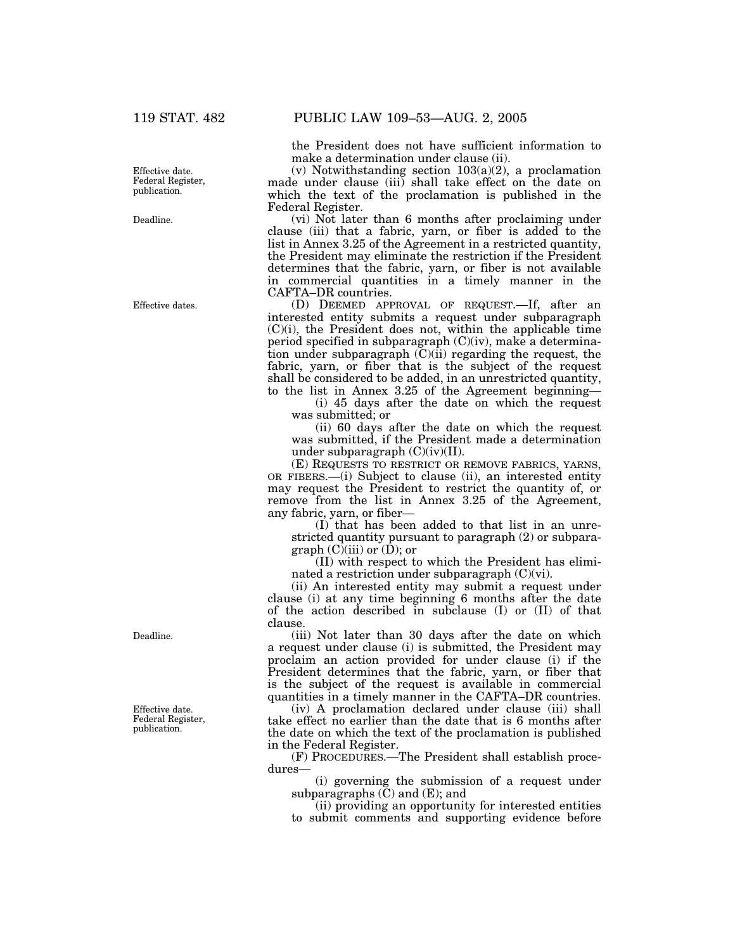Effective date. Federal Register, publication.

Deadline.

Effective dates.

Deadline.

Effective date. Federal Register, publication.

the President does not have sufficient information to make a determination under clause (ii).

(v) Notwithstanding section  $103(a)(2)$ , a proclamation made under clause (iii) shall take effect on the date on which the text of the proclamation is published in the Federal Register.

(vi) Not later than 6 months after proclaiming under clause (iii) that a fabric, yarn, or fiber is added to the list in Annex 3.25 of the Agreement in a restricted quantity, the President may eliminate the restriction if the President determines that the fabric, yarn, or fiber is not available in commercial quantities in a timely manner in the CAFTA–DR countries.

(D) DEEMED APPROVAL OF REQUEST.—If, after an interested entity submits a request under subparagraph (C)(i), the President does not, within the applicable time period specified in subparagraph (C)(iv), make a determination under subparagraph  $(C)(ii)$  regarding the request, the fabric, yarn, or fiber that is the subject of the request shall be considered to be added, in an unrestricted quantity, to the list in Annex 3.25 of the Agreement beginning—

(i) 45 days after the date on which the request was submitted; or

(ii) 60 days after the date on which the request was submitted, if the President made a determination under subparagraph  $(C)(iv)(II)$ .

(E) REQUESTS TO RESTRICT OR REMOVE FABRICS, YARNS, OR FIBERS.—(i) Subject to clause (ii), an interested entity may request the President to restrict the quantity of, or remove from the list in Annex 3.25 of the Agreement, any fabric, yarn, or fiber—

(I) that has been added to that list in an unrestricted quantity pursuant to paragraph (2) or subparagraph (C)(iii) or (D); or

(II) with respect to which the President has eliminated a restriction under subparagraph (C)(vi).

(ii) An interested entity may submit a request under clause (i) at any time beginning 6 months after the date of the action described in subclause (I) or (II) of that clause.

(iii) Not later than 30 days after the date on which a request under clause (i) is submitted, the President may proclaim an action provided for under clause (i) if the President determines that the fabric, yarn, or fiber that is the subject of the request is available in commercial quantities in a timely manner in the CAFTA–DR countries.

(iv) A proclamation declared under clause (iii) shall take effect no earlier than the date that is 6 months after the date on which the text of the proclamation is published in the Federal Register.

(F) PROCEDURES.—The President shall establish procedures—

(i) governing the submission of a request under subparagraphs  $(\check{C})$  and  $(E)$ ; and

(ii) providing an opportunity for interested entities to submit comments and supporting evidence before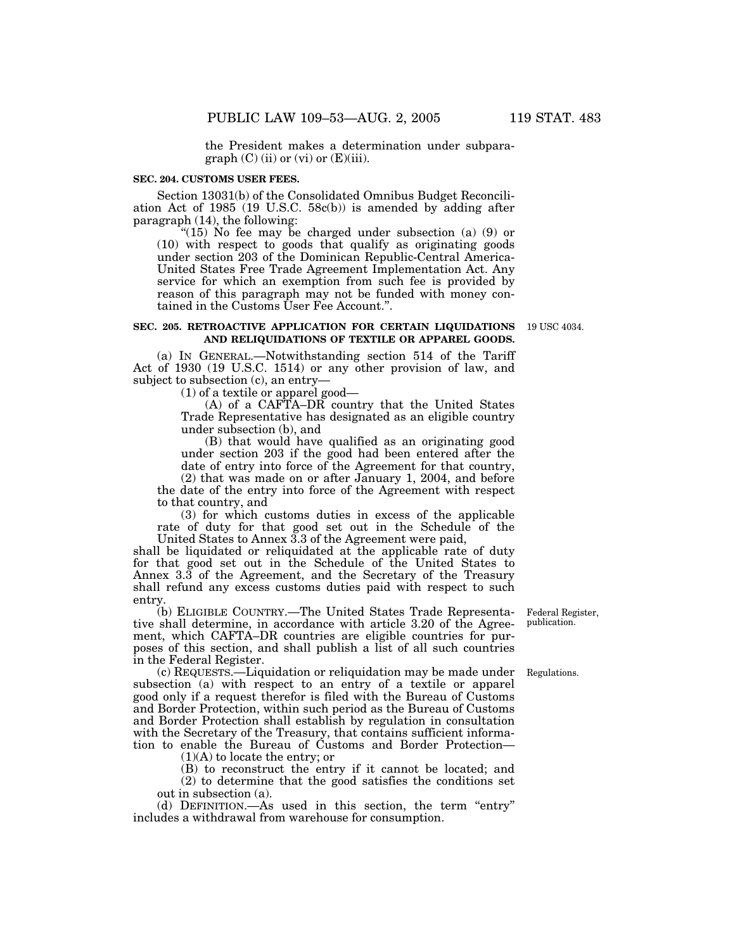the President makes a determination under subparagraph  $(C)$  (ii) or (vi) or  $(E)$ (iii).

#### **SEC. 204. CUSTOMS USER FEES.**

Section 13031(b) of the Consolidated Omnibus Budget Reconciliation Act of 1985 (19 U.S.C. 58c(b)) is amended by adding after paragraph (14), the following:

"(15) No fee may be charged under subsection (a)  $(9)$  or (10) with respect to goods that qualify as originating goods under section 203 of the Dominican Republic-Central America-United States Free Trade Agreement Implementation Act. Any service for which an exemption from such fee is provided by reason of this paragraph may not be funded with money contained in the Customs User Fee Account.''.

#### **SEC. 205. RETROACTIVE APPLICATION FOR CERTAIN LIQUIDATIONS** 19 USC 4034. **AND RELIQUIDATIONS OF TEXTILE OR APPAREL GOODS.**

(a) IN GENERAL.—Notwithstanding section 514 of the Tariff Act of 1930 (19 U.S.C. 1514) or any other provision of law, and subject to subsection (c), an entry—

(1) of a textile or apparel good—

(A) of a CAFTA–DR country that the United States Trade Representative has designated as an eligible country under subsection (b), and

(B) that would have qualified as an originating good under section 203 if the good had been entered after the date of entry into force of the Agreement for that country,

(2) that was made on or after January 1, 2004, and before the date of the entry into force of the Agreement with respect to that country, and

(3) for which customs duties in excess of the applicable rate of duty for that good set out in the Schedule of the United States to Annex 3.3 of the Agreement were paid,

shall be liquidated or reliquidated at the applicable rate of duty for that good set out in the Schedule of the United States to Annex 3.3 of the Agreement, and the Secretary of the Treasury shall refund any excess customs duties paid with respect to such entry.

(b) ELIGIBLE COUNTRY.—The United States Trade Representative shall determine, in accordance with article 3.20 of the Agreement, which CAFTA–DR countries are eligible countries for purposes of this section, and shall publish a list of all such countries in the Federal Register.

(c) REQUESTS.—Liquidation or reliquidation may be made under subsection (a) with respect to an entry of a textile or apparel good only if a request therefor is filed with the Bureau of Customs and Border Protection, within such period as the Bureau of Customs and Border Protection shall establish by regulation in consultation with the Secretary of the Treasury, that contains sufficient information to enable the Bureau of Customs and Border Protection—

(1)(A) to locate the entry; or

(B) to reconstruct the entry if it cannot be located; and (2) to determine that the good satisfies the conditions set

out in subsection (a).

(d) DEFINITION.—As used in this section, the term "entry" includes a withdrawal from warehouse for consumption.

Federal Register, publication.

Regulations.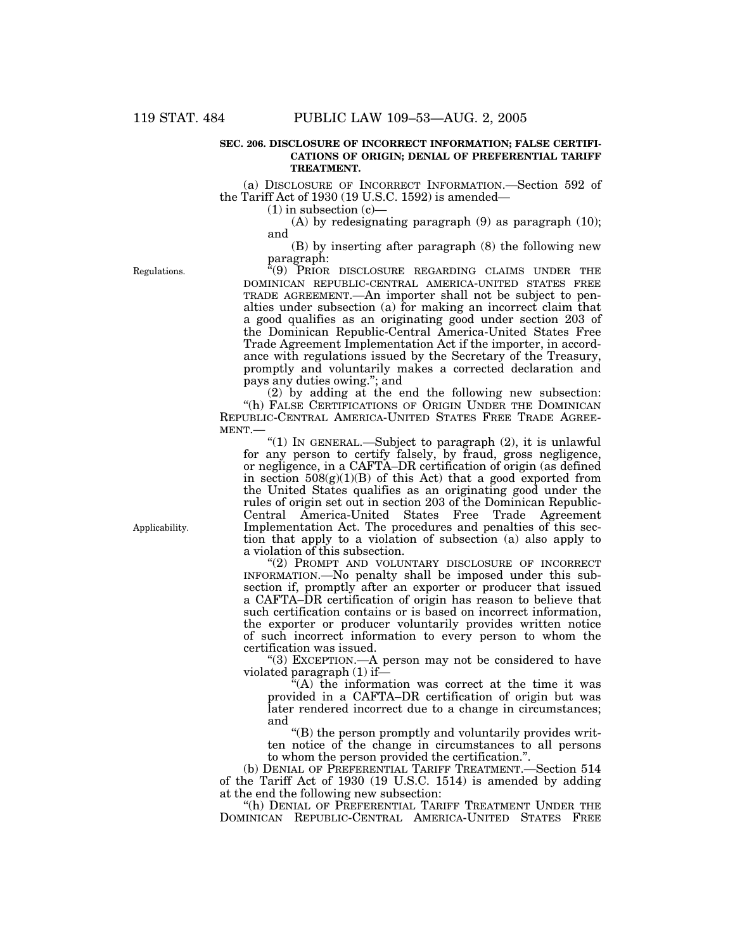#### **SEC. 206. DISCLOSURE OF INCORRECT INFORMATION; FALSE CERTIFI-CATIONS OF ORIGIN; DENIAL OF PREFERENTIAL TARIFF TREATMENT.**

(a) DISCLOSURE OF INCORRECT INFORMATION.—Section 592 of the Tariff Act of 1930 (19 U.S.C. 1592) is amended—

(1) in subsection (c)—

(A) by redesignating paragraph  $(9)$  as paragraph  $(10)$ ; and

(B) by inserting after paragraph (8) the following new paragraph:

Regulations.

''(9) PRIOR DISCLOSURE REGARDING CLAIMS UNDER THE DOMINICAN REPUBLIC-CENTRAL AMERICA-UNITED STATES FREE TRADE AGREEMENT.—An importer shall not be subject to penalties under subsection (a) for making an incorrect claim that a good qualifies as an originating good under section 203 of the Dominican Republic-Central America-United States Free Trade Agreement Implementation Act if the importer, in accordance with regulations issued by the Secretary of the Treasury, promptly and voluntarily makes a corrected declaration and pays any duties owing.''; and

(2) by adding at the end the following new subsection: "(h) FALSE CERTIFICATIONS OF ORIGIN UNDER THE DOMINICAN REPUBLIC-CENTRAL AMERICA-UNITED STATES FREE TRADE AGREE-MENT.—

''(1) IN GENERAL.—Subject to paragraph (2), it is unlawful for any person to certify falsely, by fraud, gross negligence, or negligence, in a CAFTA–DR certification of origin (as defined in section  $508(g)(1)(B)$  of this Act) that a good exported from the United States qualifies as an originating good under the rules of origin set out in section 203 of the Dominican Republic-Central America-United States Free Trade Agreement Implementation Act. The procedures and penalties of this section that apply to a violation of subsection (a) also apply to a violation of this subsection.

''(2) PROMPT AND VOLUNTARY DISCLOSURE OF INCORRECT INFORMATION.—No penalty shall be imposed under this subsection if, promptly after an exporter or producer that issued a CAFTA–DR certification of origin has reason to believe that such certification contains or is based on incorrect information, the exporter or producer voluntarily provides written notice of such incorrect information to every person to whom the certification was issued.

"(3) EXCEPTION.—A person may not be considered to have violated paragraph (1) if—

 $(A)$  the information was correct at the time it was provided in a CAFTA–DR certification of origin but was later rendered incorrect due to a change in circumstances; and

''(B) the person promptly and voluntarily provides written notice of the change in circumstances to all persons to whom the person provided the certification.''.

(b) DENIAL OF PREFERENTIAL TARIFF TREATMENT.—Section 514 of the Tariff Act of 1930 (19 U.S.C. 1514) is amended by adding at the end the following new subsection:

"(h) DENIAL OF PREFERENTIAL TARIFF TREATMENT UNDER THE DOMINICAN REPUBLIC-CENTRAL AMERICA-UNITED STATES FREE

Applicability.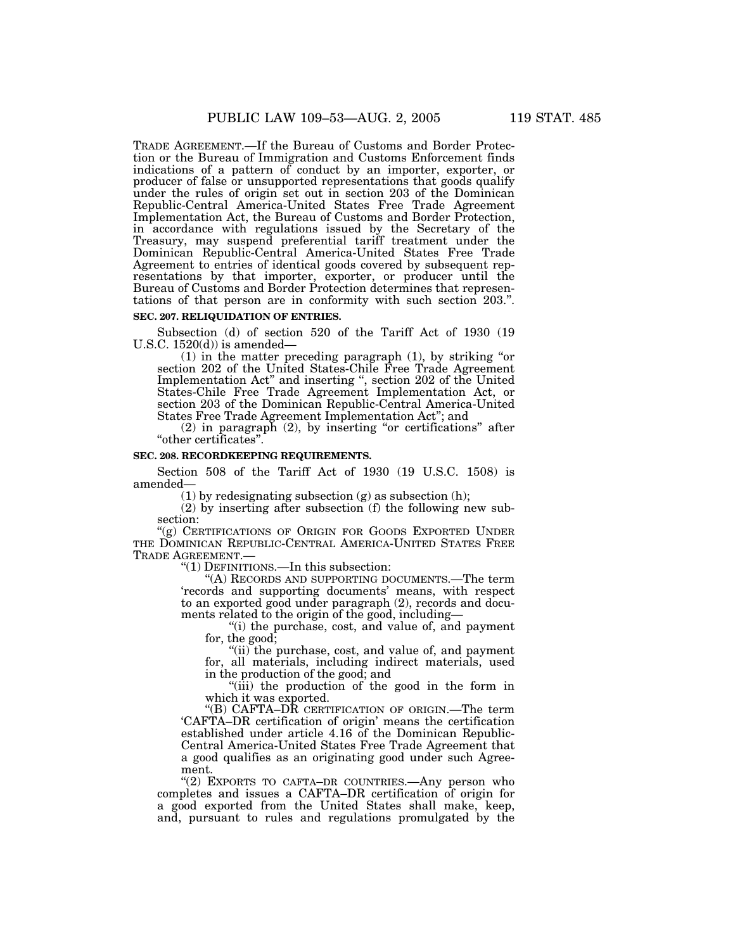TRADE AGREEMENT.—If the Bureau of Customs and Border Protection or the Bureau of Immigration and Customs Enforcement finds indications of a pattern of conduct by an importer, exporter, or producer of false or unsupported representations that goods qualify under the rules of origin set out in section 203 of the Dominican Republic-Central America-United States Free Trade Agreement Implementation Act, the Bureau of Customs and Border Protection, in accordance with regulations issued by the Secretary of the Treasury, may suspend preferential tariff treatment under the Dominican Republic-Central America-United States Free Trade Agreement to entries of identical goods covered by subsequent representations by that importer, exporter, or producer until the Bureau of Customs and Border Protection determines that representations of that person are in conformity with such section 203.''.

#### **SEC. 207. RELIQUIDATION OF ENTRIES.**

Subsection (d) of section 520 of the Tariff Act of 1930 (19 U.S.C.  $1520(d)$  is amended-

 $(1)$  in the matter preceding paragraph  $(1)$ , by striking "or section 202 of the United States-Chile Free Trade Agreement Implementation Act'' and inserting '', section 202 of the United States-Chile Free Trade Agreement Implementation Act, or section 203 of the Dominican Republic-Central America-United States Free Trade Agreement Implementation Act''; and

 $(2)$  in paragraph  $(2)$ , by inserting "or certifications" after ''other certificates''.

#### **SEC. 208. RECORDKEEPING REQUIREMENTS.**

Section 508 of the Tariff Act of 1930 (19 U.S.C. 1508) is amended—

 $(1)$  by redesignating subsection  $(g)$  as subsection  $(h)$ ;

(2) by inserting after subsection (f) the following new subsection:

''(g) CERTIFICATIONS OF ORIGIN FOR GOODS EXPORTED UNDER THE DOMINICAN REPUBLIC-CENTRAL AMERICA-UNITED STATES FREE TRADE AGREEMENT.—

" $(1)$  DEFINITIONS.—In this subsection:

''(A) RECORDS AND SUPPORTING DOCUMENTS.—The term 'records and supporting documents' means, with respect to an exported good under paragraph (2), records and documents related to the origin of the good, including—

''(i) the purchase, cost, and value of, and payment for, the good;

"(ii) the purchase, cost, and value of, and payment for, all materials, including indirect materials, used in the production of the good; and

''(iii) the production of the good in the form in which it was exported.

''(B) CAFTA–DR CERTIFICATION OF ORIGIN.—The term 'CAFTA–DR certification of origin' means the certification established under article 4.16 of the Dominican Republic-Central America-United States Free Trade Agreement that a good qualifies as an originating good under such Agreement.

"(2) EXPORTS TO CAFTA–DR COUNTRIES.—Any person who completes and issues a CAFTA–DR certification of origin for a good exported from the United States shall make, keep, and, pursuant to rules and regulations promulgated by the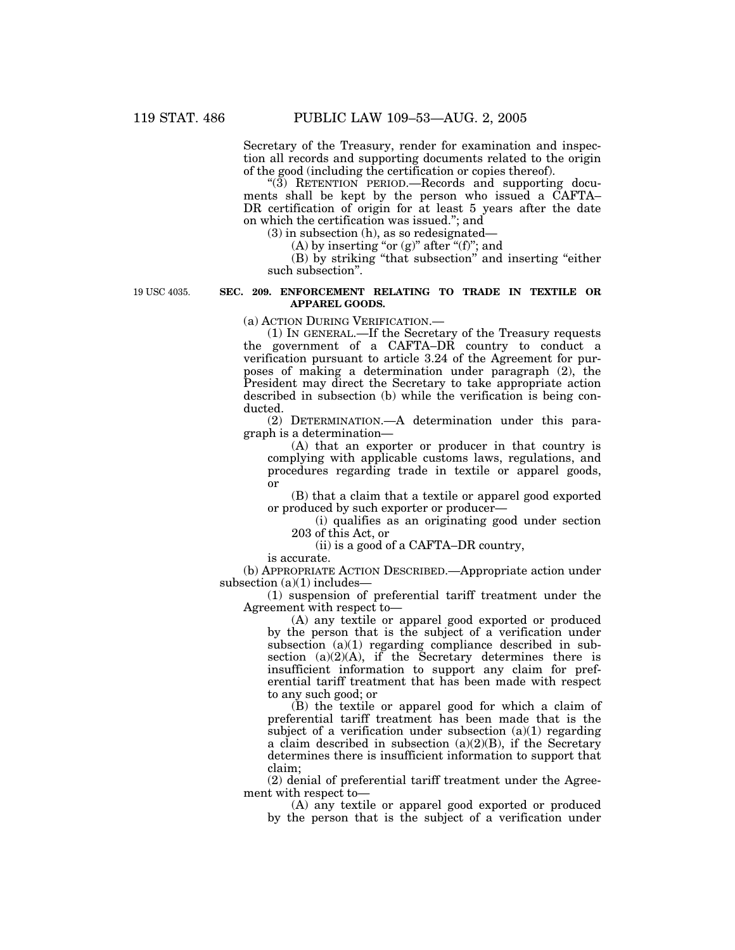Secretary of the Treasury, render for examination and inspection all records and supporting documents related to the origin of the good (including the certification or copies thereof).

''(3) RETENTION PERIOD.—Records and supporting documents shall be kept by the person who issued a CAFTA– DR certification of origin for at least 5 years after the date on which the certification was issued.''; and

(3) in subsection (h), as so redesignated—

(A) by inserting "or (g)" after "(f)"; and

(B) by striking ''that subsection'' and inserting ''either such subsection''.

19 USC 4035.

#### **SEC. 209. ENFORCEMENT RELATING TO TRADE IN TEXTILE OR APPAREL GOODS.**

(a) ACTION DURING VERIFICATION.—

(1) IN GENERAL.—If the Secretary of the Treasury requests the government of a CAFTA–DR country to conduct a verification pursuant to article 3.24 of the Agreement for purposes of making a determination under paragraph (2), the President may direct the Secretary to take appropriate action described in subsection (b) while the verification is being conducted.

(2) DETERMINATION.—A determination under this paragraph is a determination—

(A) that an exporter or producer in that country is complying with applicable customs laws, regulations, and procedures regarding trade in textile or apparel goods, or

(B) that a claim that a textile or apparel good exported or produced by such exporter or producer—

(i) qualifies as an originating good under section 203 of this Act, or

(ii) is a good of a CAFTA–DR country,

is accurate.

(b) APPROPRIATE ACTION DESCRIBED.—Appropriate action under subsection (a)(1) includes-

(1) suspension of preferential tariff treatment under the Agreement with respect to—

(A) any textile or apparel good exported or produced by the person that is the subject of a verification under subsection (a)(1) regarding compliance described in subsection  $(a)(2)(A)$ , if the Secretary determines there is insufficient information to support any claim for preferential tariff treatment that has been made with respect to any such good; or

(B) the textile or apparel good for which a claim of preferential tariff treatment has been made that is the subject of a verification under subsection  $(a)(1)$  regarding a claim described in subsection  $(a)(2)(B)$ , if the Secretary determines there is insufficient information to support that claim;

(2) denial of preferential tariff treatment under the Agreement with respect to—

(A) any textile or apparel good exported or produced by the person that is the subject of a verification under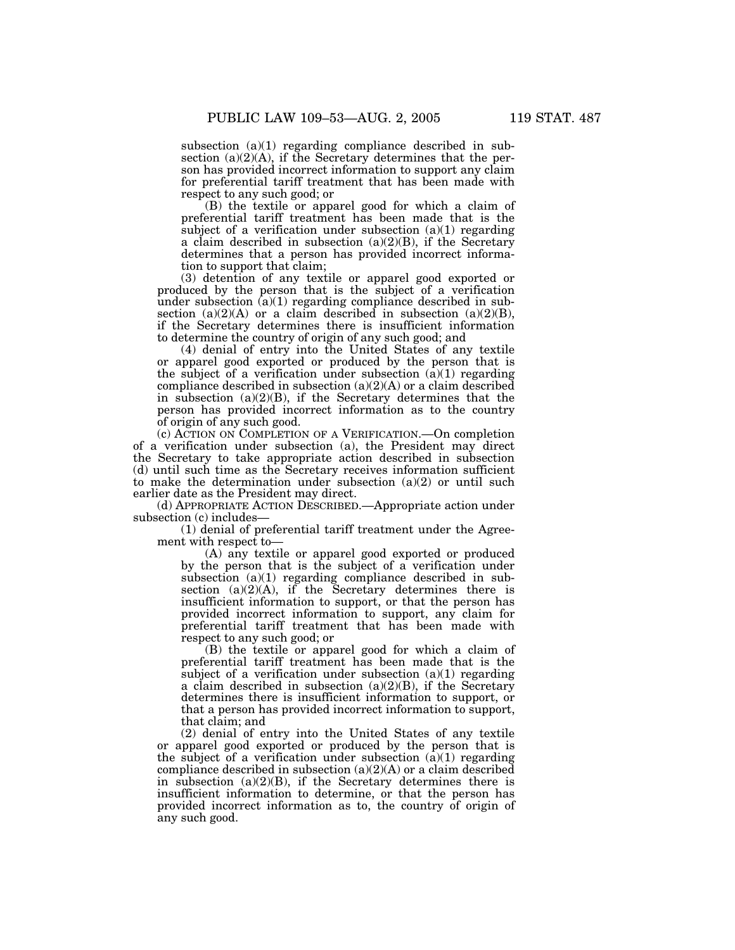subsection (a)(1) regarding compliance described in subsection  $(a)(2)(A)$ , if the Secretary determines that the person has provided incorrect information to support any claim for preferential tariff treatment that has been made with respect to any such good; or

(B) the textile or apparel good for which a claim of preferential tariff treatment has been made that is the subject of a verification under subsection  $(a)(1)$  regarding a claim described in subsection  $(a)(2)(B)$ , if the Secretary determines that a person has provided incorrect information to support that claim;

(3) detention of any textile or apparel good exported or produced by the person that is the subject of a verification under subsection  $(a)(1)$  regarding compliance described in subsection  $(a)(2)(A)$  or a claim described in subsection  $(a)(2)(B)$ , if the Secretary determines there is insufficient information to determine the country of origin of any such good; and

(4) denial of entry into the United States of any textile or apparel good exported or produced by the person that is the subject of a verification under subsection  $(a)(1)$  regarding compliance described in subsection  $(a)(2)(A)$  or a claim described in subsection  $(a)(2)(B)$ , if the Secretary determines that the person has provided incorrect information as to the country of origin of any such good.

(c) ACTION ON COMPLETION OF A VERIFICATION.—On completion of a verification under subsection (a), the President may direct the Secretary to take appropriate action described in subsection (d) until such time as the Secretary receives information sufficient to make the determination under subsection  $(a)(2)$  or until such earlier date as the President may direct.

(d) APPROPRIATE ACTION DESCRIBED.—Appropriate action under subsection (c) includes—

(1) denial of preferential tariff treatment under the Agreement with respect to—

(A) any textile or apparel good exported or produced by the person that is the subject of a verification under subsection (a)(1) regarding compliance described in subsection  $(a)(2)(A)$ , if the Secretary determines there is insufficient information to support, or that the person has provided incorrect information to support, any claim for preferential tariff treatment that has been made with respect to any such good; or

(B) the textile or apparel good for which a claim of preferential tariff treatment has been made that is the subject of a verification under subsection  $(a)(1)$  regarding a claim described in subsection  $(a)(2)(B)$ , if the Secretary determines there is insufficient information to support, or that a person has provided incorrect information to support, that claim; and

(2) denial of entry into the United States of any textile or apparel good exported or produced by the person that is the subject of a verification under subsection  $(\tilde{a})(1)$  regarding compliance described in subsection  $(a)(2)(A)$  or a claim described in subsection  $(a)(2)(B)$ , if the Secretary determines there is insufficient information to determine, or that the person has provided incorrect information as to, the country of origin of any such good.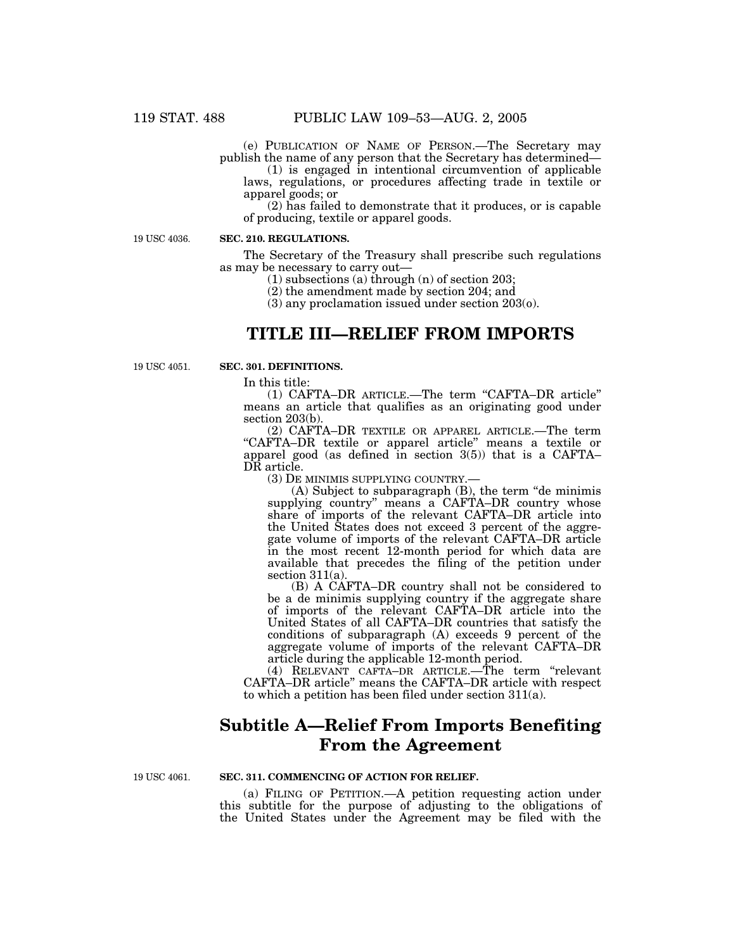(e) PUBLICATION OF NAME OF PERSON.—The Secretary may publish the name of any person that the Secretary has determined—

(1) is engaged in intentional circumvention of applicable laws, regulations, or procedures affecting trade in textile or apparel goods; or

(2) has failed to demonstrate that it produces, or is capable of producing, textile or apparel goods.

19 USC 4036.

#### **SEC. 210. REGULATIONS.**

The Secretary of the Treasury shall prescribe such regulations as may be necessary to carry out—

(1) subsections (a) through (n) of section 203;

(2) the amendment made by section 204; and

(3) any proclamation issued under section 203(o).

## **TITLE III—RELIEF FROM IMPORTS**

19 USC 4051.

### **SEC. 301. DEFINITIONS.**

In this title:

(1) CAFTA–DR ARTICLE.—The term ''CAFTA–DR article'' means an article that qualifies as an originating good under section 203(b).

(2) CAFTA–DR TEXTILE OR APPAREL ARTICLE.—The term ''CAFTA–DR textile or apparel article'' means a textile or apparel good (as defined in section 3(5)) that is a CAFTA– DR article.

(3) DE MINIMIS SUPPLYING COUNTRY.—

(A) Subject to subparagraph (B), the term ''de minimis supplying country" means a CAFTA–DR country whose share of imports of the relevant CAFTA–DR article into the United States does not exceed 3 percent of the aggregate volume of imports of the relevant CAFTA–DR article in the most recent 12-month period for which data are available that precedes the filing of the petition under section 311(a).

(B) A CAFTA–DR country shall not be considered to be a de minimis supplying country if the aggregate share of imports of the relevant CAFTA–DR article into the United States of all CAFTA–DR countries that satisfy the conditions of subparagraph (A) exceeds 9 percent of the aggregate volume of imports of the relevant CAFTA–DR article during the applicable 12-month period.

(4) RELEVANT CAFTA–DR ARTICLE.—The term ''relevant CAFTA–DR article'' means the CAFTA–DR article with respect to which a petition has been filed under section 311(a).

## **Subtitle A—Relief From Imports Benefiting From the Agreement**

19 USC 4061.

#### **SEC. 311. COMMENCING OF ACTION FOR RELIEF.**

(a) FILING OF PETITION.—A petition requesting action under this subtitle for the purpose of adjusting to the obligations of the United States under the Agreement may be filed with the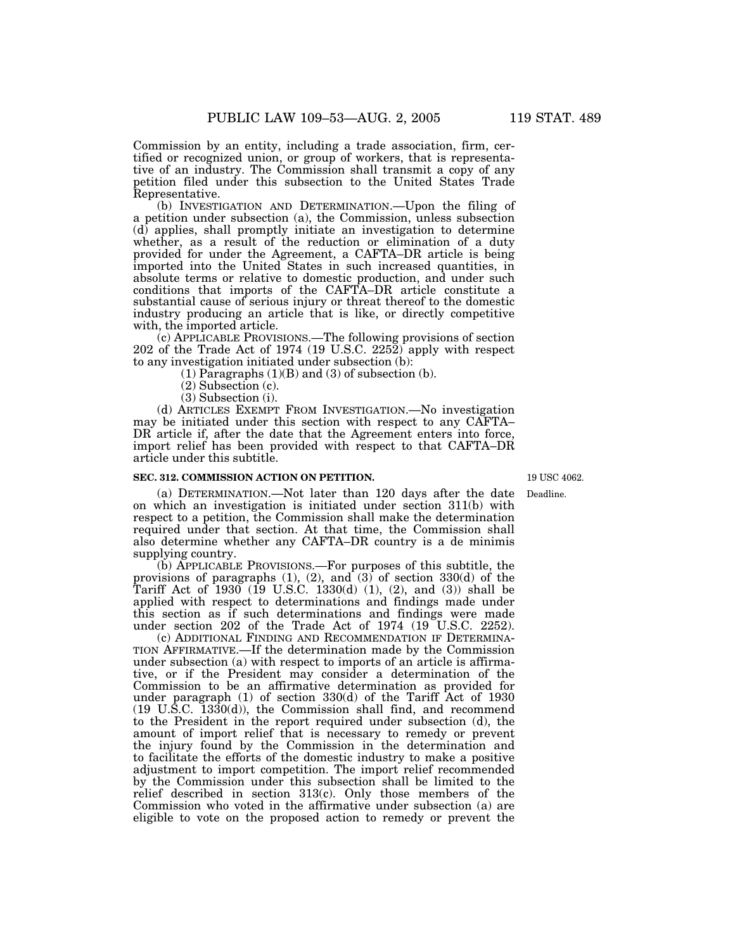Commission by an entity, including a trade association, firm, certified or recognized union, or group of workers, that is representative of an industry. The Commission shall transmit a copy of any petition filed under this subsection to the United States Trade Representative.

(b) INVESTIGATION AND DETERMINATION.—Upon the filing of a petition under subsection (a), the Commission, unless subsection (d) applies, shall promptly initiate an investigation to determine whether, as a result of the reduction or elimination of a duty provided for under the Agreement, a CAFTA–DR article is being imported into the United States in such increased quantities, in absolute terms or relative to domestic production, and under such conditions that imports of the CAFTA–DR article constitute a substantial cause of serious injury or threat thereof to the domestic industry producing an article that is like, or directly competitive with, the imported article.

(c) APPLICABLE PROVISIONS.—The following provisions of section 202 of the Trade Act of 1974 (19 U.S.C. 2252) apply with respect to any investigation initiated under subsection (b):

 $(1)$  Paragraphs  $(1)(B)$  and  $(3)$  of subsection  $(b)$ .

(2) Subsection (c).

(3) Subsection (i).

(d) ARTICLES EXEMPT FROM INVESTIGATION.—No investigation may be initiated under this section with respect to any CAFTA– DR article if, after the date that the Agreement enters into force, import relief has been provided with respect to that CAFTA–DR article under this subtitle.

#### **SEC. 312. COMMISSION ACTION ON PETITION.**

19 USC 4062.

(a) DETERMINATION.—Not later than 120 days after the date on which an investigation is initiated under section 311(b) with respect to a petition, the Commission shall make the determination required under that section. At that time, the Commission shall also determine whether any CAFTA–DR country is a de minimis supplying country.

(b) APPLICABLE PROVISIONS.—For purposes of this subtitle, the provisions of paragraphs  $(1)$ ,  $(2)$ , and  $(3)$  of section  $330(d)$  of the Tariff Act of 1930 (19 U.S.C. 1330(d) (1), (2), and (3)) shall be applied with respect to determinations and findings made under this section as if such determinations and findings were made under section 202 of the Trade Act of 1974 (19 U.S.C. 2252).

(c) ADDITIONAL FINDING AND RECOMMENDATION IF DETERMINA-TION AFFIRMATIVE.—If the determination made by the Commission under subsection (a) with respect to imports of an article is affirmative, or if the President may consider a determination of the Commission to be an affirmative determination as provided for under paragraph (1) of section 330(d) of the Tariff Act of 1930  $(19 \text{ U}.\overline{S}.\overline{C}.\overline{1330(d)})$ , the Commission shall find, and recommend to the President in the report required under subsection (d), the amount of import relief that is necessary to remedy or prevent the injury found by the Commission in the determination and to facilitate the efforts of the domestic industry to make a positive adjustment to import competition. The import relief recommended by the Commission under this subsection shall be limited to the relief described in section 313(c). Only those members of the Commission who voted in the affirmative under subsection (a) are eligible to vote on the proposed action to remedy or prevent the

Deadline.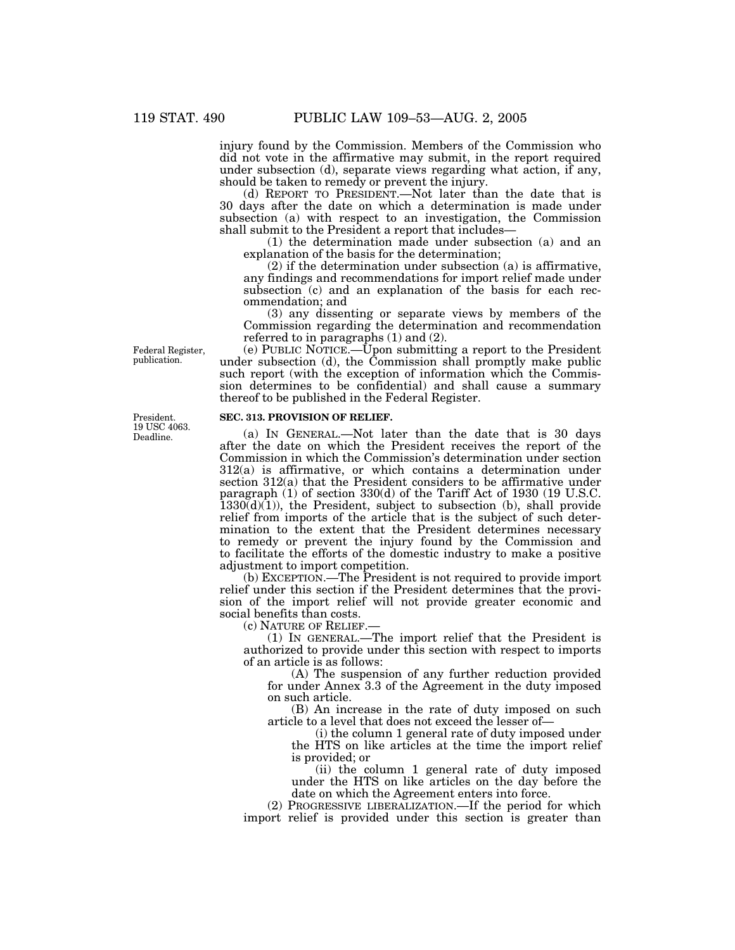injury found by the Commission. Members of the Commission who did not vote in the affirmative may submit, in the report required under subsection (d), separate views regarding what action, if any, should be taken to remedy or prevent the injury.

(d) REPORT TO PRESIDENT.—Not later than the date that is 30 days after the date on which a determination is made under subsection (a) with respect to an investigation, the Commission shall submit to the President a report that includes—

(1) the determination made under subsection (a) and an explanation of the basis for the determination;

(2) if the determination under subsection (a) is affirmative, any findings and recommendations for import relief made under subsection (c) and an explanation of the basis for each recommendation; and

(3) any dissenting or separate views by members of the Commission regarding the determination and recommendation referred to in paragraphs (1) and (2).

(e) PUBLIC NOTICE.—Upon submitting a report to the President under subsection (d), the Commission shall promptly make public such report (with the exception of information which the Commission determines to be confidential) and shall cause a summary thereof to be published in the Federal Register.

#### **SEC. 313. PROVISION OF RELIEF.**

(a) IN GENERAL.—Not later than the date that is 30 days after the date on which the President receives the report of the Commission in which the Commission's determination under section 312(a) is affirmative, or which contains a determination under section 312(a) that the President considers to be affirmative under paragraph (1) of section 330(d) of the Tariff Act of 1930 (19 U.S.C.  $1330(d)(1)$ , the President, subject to subsection (b), shall provide relief from imports of the article that is the subject of such determination to the extent that the President determines necessary to remedy or prevent the injury found by the Commission and to facilitate the efforts of the domestic industry to make a positive adjustment to import competition.

(b) EXCEPTION.—The President is not required to provide import relief under this section if the President determines that the provision of the import relief will not provide greater economic and social benefits than costs.

(c) NATURE OF RELIEF.—

(1) IN GENERAL.—The import relief that the President is authorized to provide under this section with respect to imports of an article is as follows:

(A) The suspension of any further reduction provided for under Annex 3.3 of the Agreement in the duty imposed on such article.

(B) An increase in the rate of duty imposed on such article to a level that does not exceed the lesser of—

(i) the column 1 general rate of duty imposed under the HTS on like articles at the time the import relief is provided; or

(ii) the column 1 general rate of duty imposed under the HTS on like articles on the day before the date on which the Agreement enters into force.

(2) PROGRESSIVE LIBERALIZATION.—If the period for which import relief is provided under this section is greater than

Federal Register, publication.

Deadline. President. 19 USC 4063.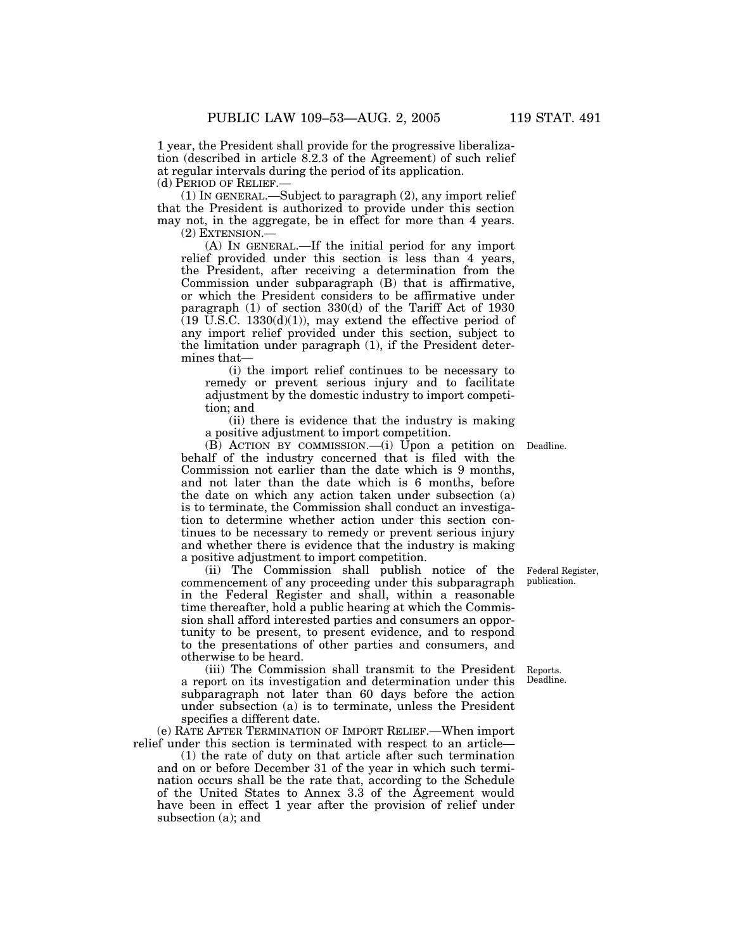1 year, the President shall provide for the progressive liberalization (described in article 8.2.3 of the Agreement) of such relief at regular intervals during the period of its application. (d) PERIOD OF RELIEF.—

(1) IN GENERAL.—Subject to paragraph (2), any import relief that the President is authorized to provide under this section may not, in the aggregate, be in effect for more than 4 years.

(2) EXTENSION.—

(A) IN GENERAL.—If the initial period for any import relief provided under this section is less than 4 years, the President, after receiving a determination from the Commission under subparagraph (B) that is affirmative, or which the President considers to be affirmative under paragraph (1) of section 330(d) of the Tariff Act of 1930  $(19 \text{ U.S.C. } 1330(d)(1))$ , may extend the effective period of any import relief provided under this section, subject to the limitation under paragraph (1), if the President determines that—

(i) the import relief continues to be necessary to remedy or prevent serious injury and to facilitate adjustment by the domestic industry to import competition; and

(ii) there is evidence that the industry is making a positive adjustment to import competition.

(B) ACTION BY COMMISSION.—(i) Upon a petition on Deadline. behalf of the industry concerned that is filed with the Commission not earlier than the date which is 9 months, and not later than the date which is 6 months, before the date on which any action taken under subsection (a) is to terminate, the Commission shall conduct an investigation to determine whether action under this section continues to be necessary to remedy or prevent serious injury and whether there is evidence that the industry is making a positive adjustment to import competition.

(ii) The Commission shall publish notice of the commencement of any proceeding under this subparagraph in the Federal Register and shall, within a reasonable time thereafter, hold a public hearing at which the Commission shall afford interested parties and consumers an opportunity to be present, to present evidence, and to respond to the presentations of other parties and consumers, and otherwise to be heard.

(iii) The Commission shall transmit to the President a report on its investigation and determination under this subparagraph not later than 60 days before the action under subsection (a) is to terminate, unless the President specifies a different date.

(e) RATE AFTER TERMINATION OF IMPORT RELIEF.—When import relief under this section is terminated with respect to an article—

(1) the rate of duty on that article after such termination and on or before December 31 of the year in which such termination occurs shall be the rate that, according to the Schedule of the United States to Annex 3.3 of the Agreement would have been in effect 1 year after the provision of relief under subsection (a); and

Federal Register, publication.

Reports. Deadline.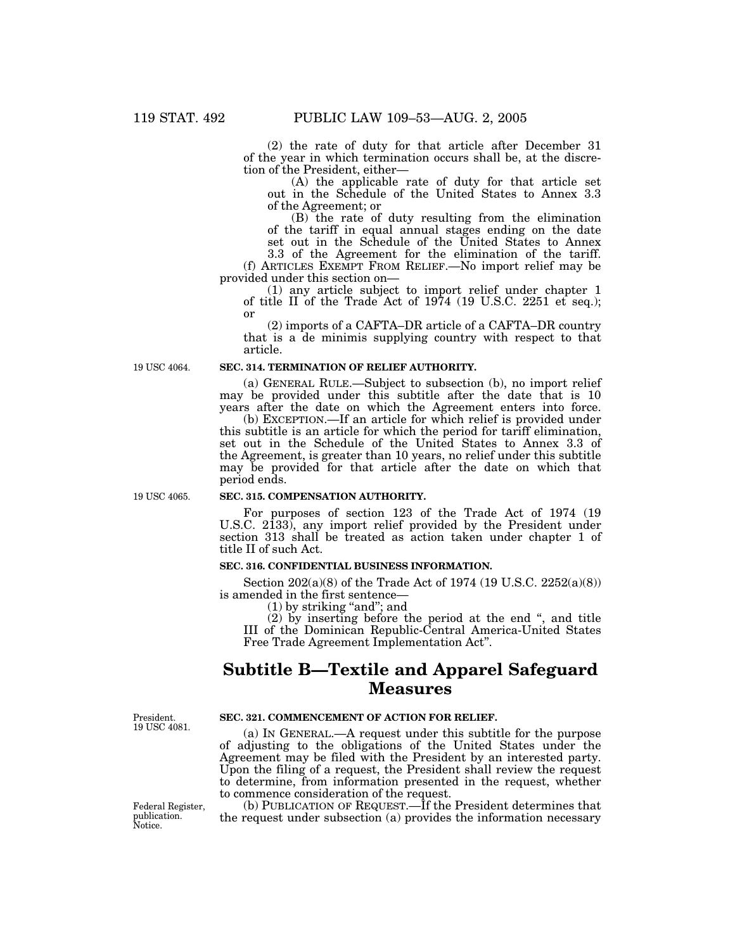(2) the rate of duty for that article after December 31 of the year in which termination occurs shall be, at the discretion of the President, either—

(A) the applicable rate of duty for that article set out in the Schedule of the United States to Annex 3.3 of the Agreement; or

(B) the rate of duty resulting from the elimination of the tariff in equal annual stages ending on the date set out in the Schedule of the United States to Annex

3.3 of the Agreement for the elimination of the tariff. (f) ARTICLES EXEMPT FROM RELIEF.—No import relief may be provided under this section on—

(1) any article subject to import relief under chapter 1 of title II of the Trade Act of 1974 (19 U.S.C. 2251 et seq.); or

(2) imports of a CAFTA–DR article of a CAFTA–DR country that is a de minimis supplying country with respect to that article.

19 USC 4064.

#### **SEC. 314. TERMINATION OF RELIEF AUTHORITY.**

(a) GENERAL RULE.—Subject to subsection (b), no import relief may be provided under this subtitle after the date that is 10 years after the date on which the Agreement enters into force.

(b) EXCEPTION.—If an article for which relief is provided under this subtitle is an article for which the period for tariff elimination, set out in the Schedule of the United States to Annex 3.3 of the Agreement, is greater than 10 years, no relief under this subtitle may be provided for that article after the date on which that period ends.

19 USC 4065.

#### **SEC. 315. COMPENSATION AUTHORITY.**

For purposes of section 123 of the Trade Act of 1974 (19 U.S.C. 2133), any import relief provided by the President under section 313 shall be treated as action taken under chapter 1 of title II of such Act.

#### **SEC. 316. CONFIDENTIAL BUSINESS INFORMATION.**

Section 202(a)(8) of the Trade Act of 1974 (19 U.S.C. 2252(a)(8)) is amended in the first sentence—

 $(1)$  by striking "and"; and

(2) by inserting before the period at the end ", and title III of the Dominican Republic-Central America-United States Free Trade Agreement Implementation Act''.

## **Subtitle B—Textile and Apparel Safeguard Measures**

President. 19 USC 4081.

Federal Register, publication. Notice.

**SEC. 321. COMMENCEMENT OF ACTION FOR RELIEF.**

(a) IN GENERAL.—A request under this subtitle for the purpose of adjusting to the obligations of the United States under the Agreement may be filed with the President by an interested party. Upon the filing of a request, the President shall review the request to determine, from information presented in the request, whether to commence consideration of the request.

(b) PUBLICATION OF REQUEST.—If the President determines that the request under subsection (a) provides the information necessary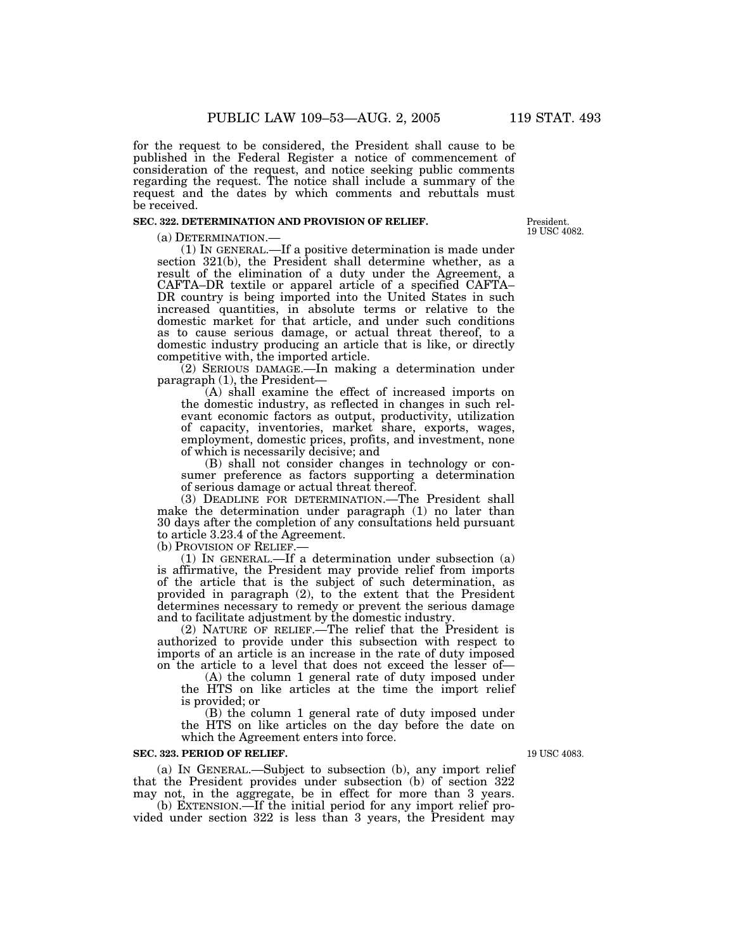for the request to be considered, the President shall cause to be published in the Federal Register a notice of commencement of consideration of the request, and notice seeking public comments regarding the request. The notice shall include a summary of the request and the dates by which comments and rebuttals must be received.

#### **SEC. 322. DETERMINATION AND PROVISION OF RELIEF.**

(a) DETERMINATION.— (1) IN GENERAL.—If a positive determination is made under section 321(b), the President shall determine whether, as a result of the elimination of a duty under the Agreement, a CAFTA–DR textile or apparel article of a specified CAFTA– DR country is being imported into the United States in such increased quantities, in absolute terms or relative to the domestic market for that article, and under such conditions as to cause serious damage, or actual threat thereof, to a domestic industry producing an article that is like, or directly competitive with, the imported article.

(2) SERIOUS DAMAGE.—In making a determination under paragraph (1), the President—

(A) shall examine the effect of increased imports on the domestic industry, as reflected in changes in such relevant economic factors as output, productivity, utilization of capacity, inventories, market share, exports, wages, employment, domestic prices, profits, and investment, none of which is necessarily decisive; and

(B) shall not consider changes in technology or consumer preference as factors supporting a determination of serious damage or actual threat thereof.

(3) DEADLINE FOR DETERMINATION.—The President shall make the determination under paragraph (1) no later than 30 days after the completion of any consultations held pursuant to article 3.23.4 of the Agreement.

(b) PROVISION OF RELIEF.—<br>(1) IN GENERAL.—If a determination under subsection (a) is affirmative, the President may provide relief from imports of the article that is the subject of such determination, as provided in paragraph  $(2)$ , to the extent that the President determines necessary to remedy or prevent the serious damage and to facilitate adjustment by the domestic industry.

(2) NATURE OF RELIEF.—The relief that the President is authorized to provide under this subsection with respect to imports of an article is an increase in the rate of duty imposed on the article to a level that does not exceed the lesser of—

(A) the column 1 general rate of duty imposed under the HTS on like articles at the time the import relief is provided; or

(B) the column 1 general rate of duty imposed under the HTS on like articles on the day before the date on which the Agreement enters into force.

#### **SEC. 323. PERIOD OF RELIEF.**

(a) IN GENERAL.—Subject to subsection (b), any import relief that the President provides under subsection (b) of section 322 may not, in the aggregate, be in effect for more than 3 years.

(b) EXTENSION.—If the initial period for any import relief provided under section 322 is less than 3 years, the President may

19 USC 4083.

President. 19 USC 4082.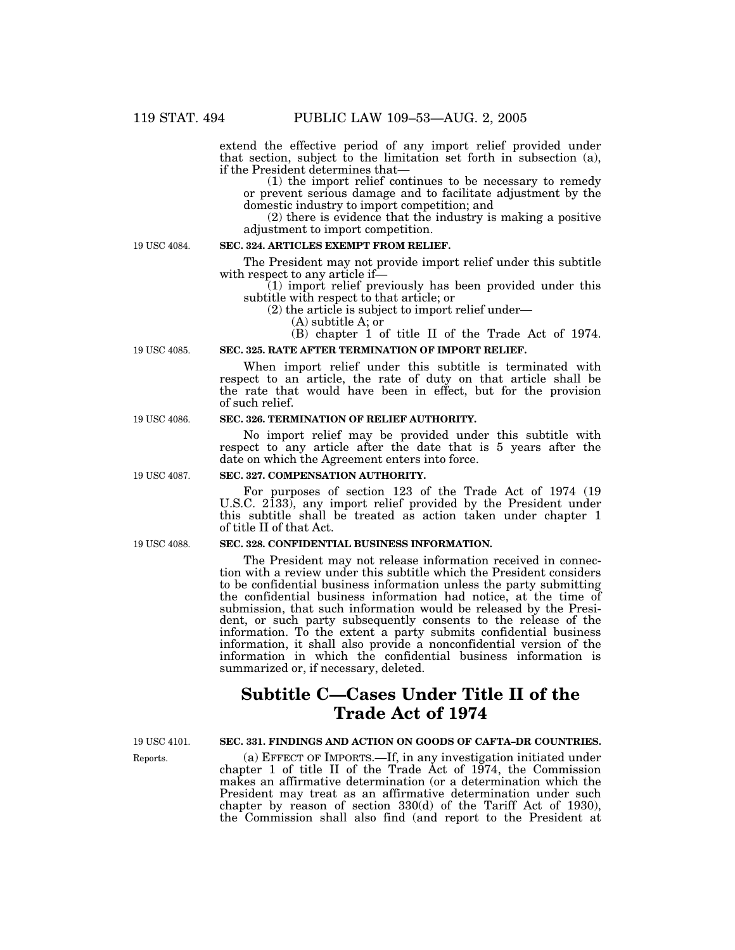extend the effective period of any import relief provided under that section, subject to the limitation set forth in subsection (a), if the President determines that—

(1) the import relief continues to be necessary to remedy or prevent serious damage and to facilitate adjustment by the domestic industry to import competition; and

(2) there is evidence that the industry is making a positive adjustment to import competition.

19 USC 4084.

#### **SEC. 324. ARTICLES EXEMPT FROM RELIEF.**

The President may not provide import relief under this subtitle with respect to any article if—

(1) import relief previously has been provided under this subtitle with respect to that article; or

(2) the article is subject to import relief under—

(A) subtitle A; or

(B) chapter 1 of title II of the Trade Act of 1974.

### **SEC. 325. RATE AFTER TERMINATION OF IMPORT RELIEF.**

When import relief under this subtitle is terminated with respect to an article, the rate of duty on that article shall be the rate that would have been in effect, but for the provision of such relief.

#### **SEC. 326. TERMINATION OF RELIEF AUTHORITY.**

No import relief may be provided under this subtitle with respect to any article after the date that is 5 years after the date on which the Agreement enters into force.

#### **SEC. 327. COMPENSATION AUTHORITY.**

For purposes of section 123 of the Trade Act of 1974 (19 U.S.C. 2133), any import relief provided by the President under this subtitle shall be treated as action taken under chapter 1 of title II of that Act.

#### **SEC. 328. CONFIDENTIAL BUSINESS INFORMATION.**

The President may not release information received in connection with a review under this subtitle which the President considers to be confidential business information unless the party submitting the confidential business information had notice, at the time of submission, that such information would be released by the President, or such party subsequently consents to the release of the information. To the extent a party submits confidential business information, it shall also provide a nonconfidential version of the information in which the confidential business information is summarized or, if necessary, deleted.

# **Subtitle C—Cases Under Title II of the Trade Act of 1974**

19 USC 4101.

Reports.

**SEC. 331. FINDINGS AND ACTION ON GOODS OF CAFTA–DR COUNTRIES.**

(a) EFFECT OF IMPORTS.—If, in any investigation initiated under chapter 1 of title II of the Trade Act of 1974, the Commission makes an affirmative determination (or a determination which the President may treat as an affirmative determination under such chapter by reason of section 330(d) of the Tariff Act of 1930), the Commission shall also find (and report to the President at

19 USC 4086.

19 USC 4085.

19 USC 4087.

19 USC 4088.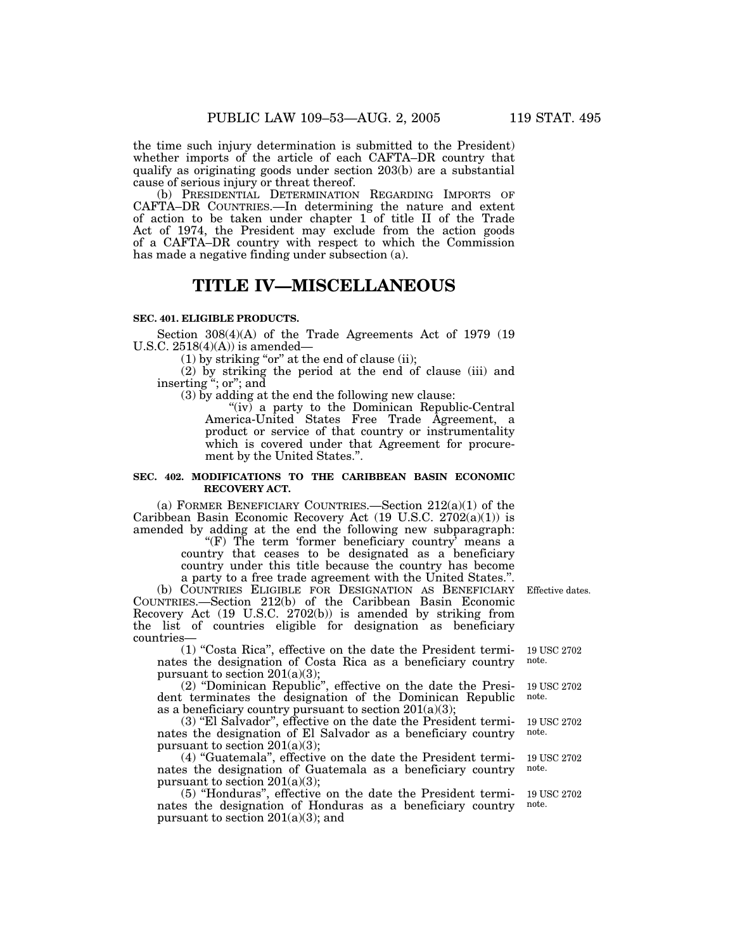the time such injury determination is submitted to the President) whether imports of the article of each CAFTA–DR country that qualify as originating goods under section 203(b) are a substantial cause of serious injury or threat thereof.

(b) PRESIDENTIAL DETERMINATION REGARDING IMPORTS OF CAFTA–DR COUNTRIES.—In determining the nature and extent of action to be taken under chapter 1 of title II of the Trade Act of 1974, the President may exclude from the action goods of a CAFTA–DR country with respect to which the Commission has made a negative finding under subsection (a).

## **TITLE IV—MISCELLANEOUS**

#### **SEC. 401. ELIGIBLE PRODUCTS.**

Section 308(4)(A) of the Trade Agreements Act of 1979 (19 U.S.C.  $2518(4)(A)$  is amended-

 $(1)$  by striking "or" at the end of clause (ii);

(2) by striking the period at the end of clause (iii) and inserting "; or"; and

(3) by adding at the end the following new clause:

"(iv) a party to the Dominican Republic-Central America-United States Free Trade Agreement, a product or service of that country or instrumentality which is covered under that Agreement for procurement by the United States.''.

#### **SEC. 402. MODIFICATIONS TO THE CARIBBEAN BASIN ECONOMIC RECOVERY ACT.**

(a) FORMER BENEFICIARY COUNTRIES.—Section 212(a)(1) of the Caribbean Basin Economic Recovery Act (19 U.S.C. 2702(a)(1)) is amended by adding at the end the following new subparagraph:

" $(F)$  The term 'former beneficiary country' means a country that ceases to be designated as a beneficiary country under this title because the country has become a party to a free trade agreement with the United States.''.

(b) COUNTRIES ELIGIBLE FOR DESIGNATION AS BENEFICIARY COUNTRIES.—Section 212(b) of the Caribbean Basin Economic Recovery Act (19 U.S.C. 2702(b)) is amended by striking from the list of countries eligible for designation as beneficiary countries—

(1) ''Costa Rica'', effective on the date the President terminates the designation of Costa Rica as a beneficiary country pursuant to section  $201(a)(3)$ ;

(2) ''Dominican Republic'', effective on the date the President terminates the designation of the Dominican Republic as a beneficiary country pursuant to section  $201(a)(3)$ ;

(3) ''El Salvador'', effective on the date the President terminates the designation of El Salvador as a beneficiary country pursuant to section 201(a)(3);

(4) ''Guatemala'', effective on the date the President terminates the designation of Guatemala as a beneficiary country pursuant to section  $201(a)(3)$ ;

(5) ''Honduras'', effective on the date the President terminates the designation of Honduras as a beneficiary country pursuant to section  $201(a)(3)$ ; and

Effective dates.

19 USC 2702 note.

19 USC 2702 note.

19 USC 2702 note.

19 USC 2702 note.

19 USC 2702 note.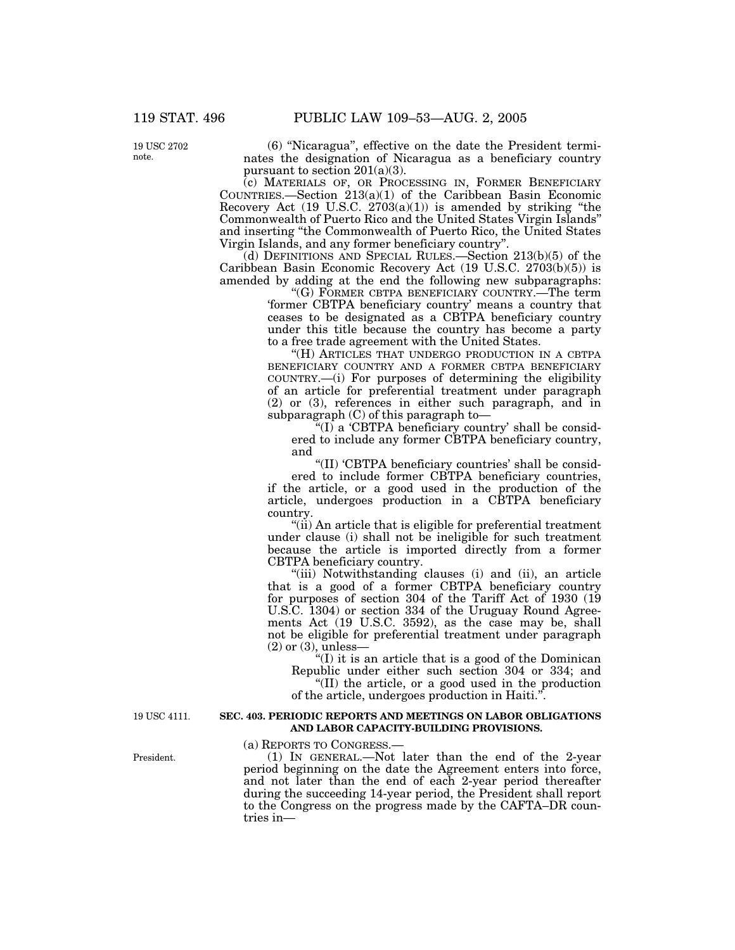19 USC 2702 note.

(6) ''Nicaragua'', effective on the date the President terminates the designation of Nicaragua as a beneficiary country pursuant to section  $201(a)(3)$ .

(c) MATERIALS OF, OR PROCESSING IN, FORMER BENEFICIARY COUNTRIES.—Section  $213(a)(1)$  of the Caribbean Basin Economic Recovery Act  $(19 \text{ U.S.C. } 2703(a)(1))$  is amended by striking "the Commonwealth of Puerto Rico and the United States Virgin Islands'' and inserting ''the Commonwealth of Puerto Rico, the United States Virgin Islands, and any former beneficiary country''.

(d) DEFINITIONS AND SPECIAL RULES.—Section 213(b)(5) of the Caribbean Basin Economic Recovery Act (19 U.S.C. 2703(b)(5)) is amended by adding at the end the following new subparagraphs:

''(G) FORMER CBTPA BENEFICIARY COUNTRY.—The term 'former CBTPA beneficiary country' means a country that ceases to be designated as a CBTPA beneficiary country under this title because the country has become a party to a free trade agreement with the United States.

"(H) ARTICLES THAT UNDERGO PRODUCTION IN A CBTPA BENEFICIARY COUNTRY AND A FORMER CBTPA BENEFICIARY COUNTRY.—(i) For purposes of determining the eligibility of an article for preferential treatment under paragraph (2) or (3), references in either such paragraph, and in subparagraph (C) of this paragraph to—

" $(I)$  a 'CBTPA beneficiary country' shall be considered to include any former CBTPA beneficiary country, and

''(II) 'CBTPA beneficiary countries' shall be consid-

ered to include former CBTPA beneficiary countries, if the article, or a good used in the production of the article, undergoes production in a CBTPA beneficiary country.

''(ii) An article that is eligible for preferential treatment under clause (i) shall not be ineligible for such treatment because the article is imported directly from a former CBTPA beneficiary country.

"(iii) Notwithstanding clauses (i) and (ii), an article that is a good of a former CBTPA beneficiary country for purposes of section 304 of the Tariff Act of 1930 (19 U.S.C. 1304) or section 334 of the Uruguay Round Agreements Act (19 U.S.C. 3592), as the case may be, shall not be eligible for preferential treatment under paragraph (2) or (3), unless—

''(I) it is an article that is a good of the Dominican Republic under either such section 304 or 334; and

''(II) the article, or a good used in the production of the article, undergoes production in Haiti.

19 USC 4111.

#### **SEC. 403. PERIODIC REPORTS AND MEETINGS ON LABOR OBLIGATIONS AND LABOR CAPACITY-BUILDING PROVISIONS.**

(a) REPORTS TO CONGRESS.—

(1) IN GENERAL.—Not later than the end of the 2-year period beginning on the date the Agreement enters into force, and not later than the end of each 2-year period thereafter during the succeeding 14-year period, the President shall report to the Congress on the progress made by the CAFTA–DR countries in—

President.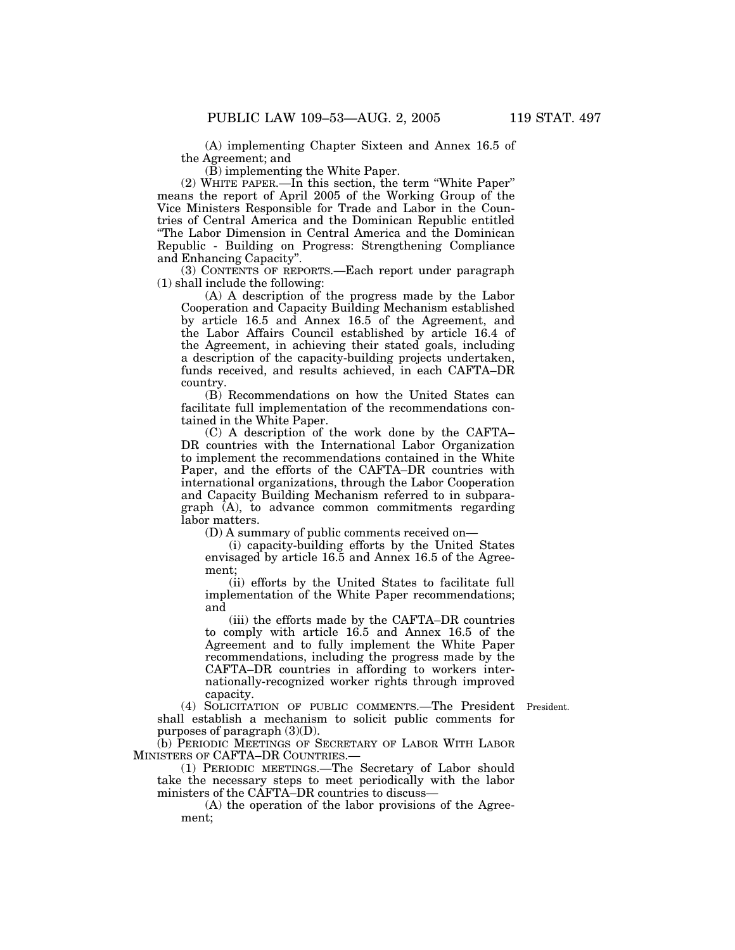(A) implementing Chapter Sixteen and Annex 16.5 of the Agreement; and

(B) implementing the White Paper.

(2) WHITE PAPER.—In this section, the term ''White Paper'' means the report of April 2005 of the Working Group of the Vice Ministers Responsible for Trade and Labor in the Countries of Central America and the Dominican Republic entitled ''The Labor Dimension in Central America and the Dominican Republic - Building on Progress: Strengthening Compliance and Enhancing Capacity''.

(3) CONTENTS OF REPORTS.—Each report under paragraph (1) shall include the following:

(A) A description of the progress made by the Labor Cooperation and Capacity Building Mechanism established by article 16.5 and Annex 16.5 of the Agreement, and the Labor Affairs Council established by article 16.4 of the Agreement, in achieving their stated goals, including a description of the capacity-building projects undertaken, funds received, and results achieved, in each CAFTA–DR country.

(B) Recommendations on how the United States can facilitate full implementation of the recommendations contained in the White Paper.

(C) A description of the work done by the CAFTA– DR countries with the International Labor Organization to implement the recommendations contained in the White Paper, and the efforts of the CAFTA–DR countries with international organizations, through the Labor Cooperation and Capacity Building Mechanism referred to in subparagraph (A), to advance common commitments regarding labor matters.

(D) A summary of public comments received on—

(i) capacity-building efforts by the United States envisaged by article 16.5 and Annex 16.5 of the Agreement;

(ii) efforts by the United States to facilitate full implementation of the White Paper recommendations; and

(iii) the efforts made by the CAFTA–DR countries to comply with article 16.5 and Annex 16.5 of the Agreement and to fully implement the White Paper recommendations, including the progress made by the CAFTA–DR countries in affording to workers internationally-recognized worker rights through improved capacity.

President.

(4) SOLICITATION OF PUBLIC COMMENTS.—The President shall establish a mechanism to solicit public comments for purposes of paragraph  $(3)(D)$ .

(b) PERIODIC MEETINGS OF SECRETARY OF LABOR WITH LABOR MINISTERS OF CAFTA–DR COUNTRIES.—

(1) PERIODIC MEETINGS.—The Secretary of Labor should take the necessary steps to meet periodically with the labor ministers of the CAFTA–DR countries to discuss—

(A) the operation of the labor provisions of the Agreement;